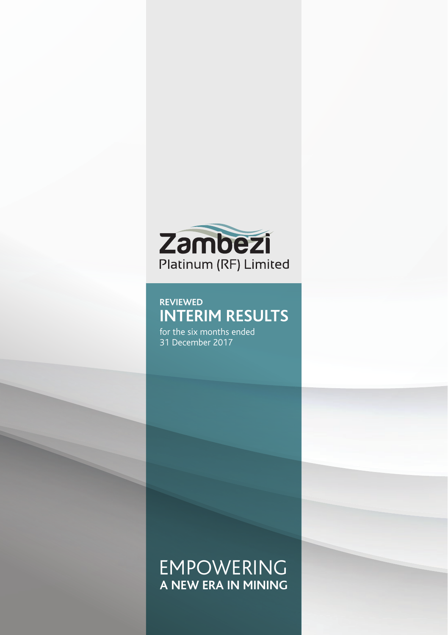

# **REVIEWED INTERIM RESULTS**

for the six months ended 31 December 2017

# EMPOWERING **A NEW ERA IN MINING**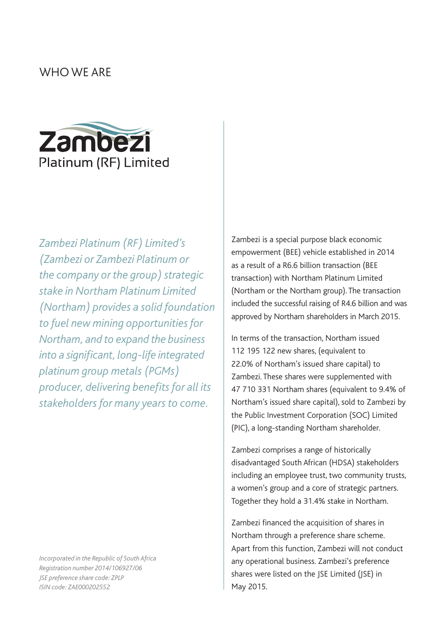## WHO WE ARE



*Zambezi Platinum (RF) Limited's (Zambezi or Zambezi Platinum or the company or the group) strategic stake in Northam Platinum Limited (Northam) provides a solid foundation to fuel new mining opportunities for Northam, and to expand the business into a significant, long-life integrated platinum group metals (PGMs) producer, delivering benefits for all its stakeholders for many years to come.* 

*Incorporated in the Republic of South Africa Registration number 2014/106927/06 JSE preference share code: ZPLP ISIN code: ZAE000202552* 

Zambezi is a special purpose black economic empowerment (BEE) vehicle established in 2014 as a result of a R6.6 billion transaction (BEE transaction) with Northam Platinum Limited (Northam or the Northam group). The transaction included the successful raising of R4.6 billion and was approved by Northam shareholders in March 2015.

In terms of the transaction, Northam issued 112 195 122 new shares, (equivalent to 22.0% of Northam's issued share capital) to Zambezi. These shares were supplemented with 47 710 331 Northam shares (equivalent to 9.4% of Northam's issued share capital), sold to Zambezi by the Public Investment Corporation (SOC) Limited (PIC), a long-standing Northam shareholder.

Zambezi comprises a range of historically disadvantaged South African (HDSA) stakeholders including an employee trust, two community trusts, a women's group and a core of strategic partners. Together they hold a 31.4% stake in Northam.

Zambezi financed the acquisition of shares in Northam through a preference share scheme. Apart from this function, Zambezi will not conduct any operational business. Zambezi's preference shares were listed on the JSE Limited (JSE) in May 2015.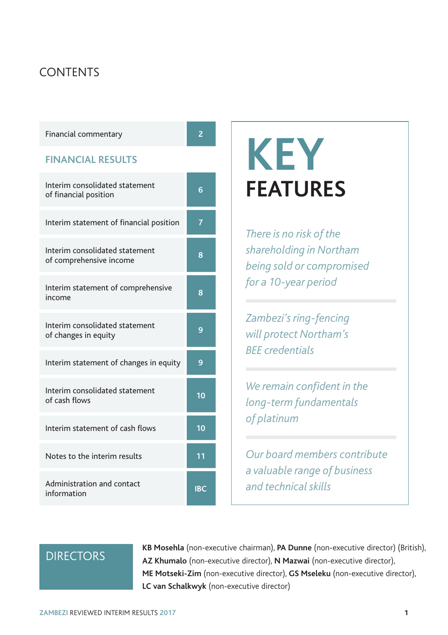## **CONTENTS**

| Financial commentary                                      | $\overline{2}$ |                                                                            |
|-----------------------------------------------------------|----------------|----------------------------------------------------------------------------|
| <b>FINANCIAL RESULTS</b>                                  |                | <b>KEY</b>                                                                 |
| Interim consolidated statement<br>of financial position   | 6              | <b>FEATURES</b>                                                            |
| Interim statement of financial position                   | $\overline{7}$ | There is no risk of the                                                    |
| Interim consolidated statement<br>of comprehensive income | 8              | shareholding in Northam<br>being sold or compromised                       |
| Interim statement of comprehensive<br>income              | $\overline{8}$ | for a 10-year period                                                       |
| Interim consolidated statement<br>of changes in equity    | 9              | Zambezi's ring-fencing<br>will protect Northam's<br><b>BEE</b> credentials |
| Interim statement of changes in equity                    | 9              |                                                                            |
| Interim consolidated statement<br>of cash flows           | 10             | We remain confident in the<br>long-term fundamentals                       |
| Interim statement of cash flows                           | 10             | of platinum                                                                |
| Notes to the interim results                              | 11             | Our board members contribute<br>a valuable range of business               |
| Administration and contact<br>information                 | <b>IBC</b>     | and technical skills                                                       |

# **DIRECTORS**

**KB Mosehla** (non-executive chairman), **PA Dunne** (non-executive director) (British), **AZ Khumalo** (non-executive director), **N Mazwai** (non-executive director), **ME Motseki-Zim** (non-executive director), **GS Mseleku** (non-executive director), **LC van Schalkwyk** (non-executive director)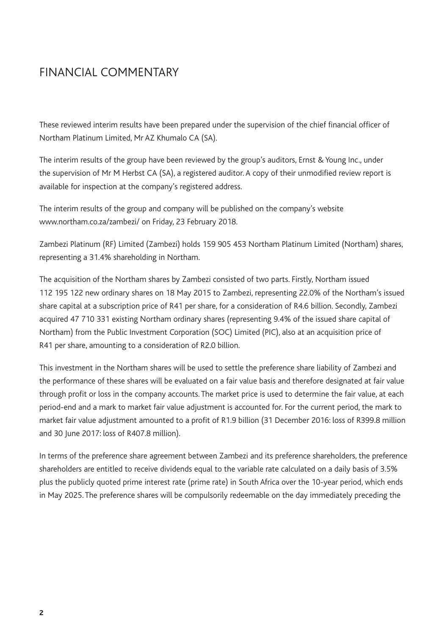## FINANCIAL COMMENTARY

These reviewed interim results have been prepared under the supervision of the chief financial officer of Northam Platinum Limited, Mr AZ Khumalo CA (SA).

The interim results of the group have been reviewed by the group's auditors, Ernst & Young Inc., under the supervision of Mr M Herbst CA (SA), a registered auditor. A copy of their unmodified review report is available for inspection at the company's registered address.

The interim results of the group and company will be published on the company's website www.northam.co.za/zambezi/ on Friday, 23 February 2018.

Zambezi Platinum (RF) Limited (Zambezi) holds 159 905 453 Northam Platinum Limited (Northam) shares, representing a 31.4% shareholding in Northam.

The acquisition of the Northam shares by Zambezi consisted of two parts. Firstly, Northam issued 112 195 122 new ordinary shares on 18 May 2015 to Zambezi, representing 22.0% of the Northam's issued share capital at a subscription price of R41 per share, for a consideration of R4.6 billion. Secondly, Zambezi acquired 47 710 331 existing Northam ordinary shares (representing 9.4% of the issued share capital of Northam) from the Public Investment Corporation (SOC) Limited (PIC), also at an acquisition price of R41 per share, amounting to a consideration of R2.0 billion.

This investment in the Northam shares will be used to settle the preference share liability of Zambezi and the performance of these shares will be evaluated on a fair value basis and therefore designated at fair value through profit or loss in the company accounts. The market price is used to determine the fair value, at each period-end and a mark to market fair value adjustment is accounted for. For the current period, the mark to market fair value adjustment amounted to a profit of R1.9 billion (31 December 2016: loss of R399.8 million and 30 June 2017: loss of R407.8 million).

In terms of the preference share agreement between Zambezi and its preference shareholders, the preference shareholders are entitled to receive dividends equal to the variable rate calculated on a daily basis of 3.5% plus the publicly quoted prime interest rate (prime rate) in South Africa over the 10-year period, which ends in May 2025. The preference shares will be compulsorily redeemable on the day immediately preceding the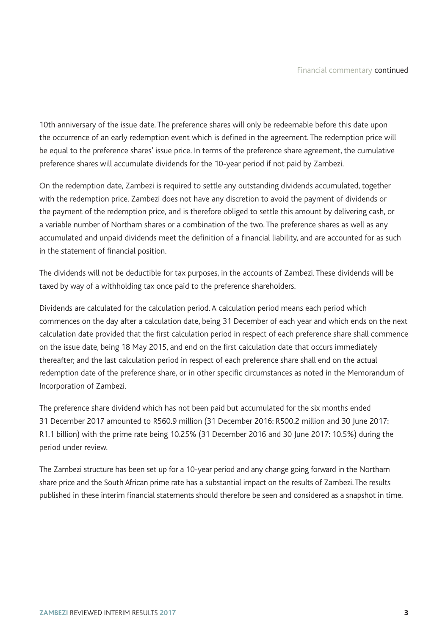10th anniversary of the issue date. The preference shares will only be redeemable before this date upon the occurrence of an early redemption event which is defined in the agreement. The redemption price will be equal to the preference shares' issue price. In terms of the preference share agreement, the cumulative preference shares will accumulate dividends for the 10-year period if not paid by Zambezi.

On the redemption date, Zambezi is required to settle any outstanding dividends accumulated, together with the redemption price. Zambezi does not have any discretion to avoid the payment of dividends or the payment of the redemption price, and is therefore obliged to settle this amount by delivering cash, or a variable number of Northam shares or a combination of the two. The preference shares as well as any accumulated and unpaid dividends meet the definition of a financial liability, and are accounted for as such in the statement of financial position.

The dividends will not be deductible for tax purposes, in the accounts of Zambezi. These dividends will be taxed by way of a withholding tax once paid to the preference shareholders.

Dividends are calculated for the calculation period. A calculation period means each period which commences on the day after a calculation date, being 31 December of each year and which ends on the next calculation date provided that the first calculation period in respect of each preference share shall commence on the issue date, being 18 May 2015, and end on the first calculation date that occurs immediately thereafter; and the last calculation period in respect of each preference share shall end on the actual redemption date of the preference share, or in other specific circumstances as noted in the Memorandum of Incorporation of Zambezi.

The preference share dividend which has not been paid but accumulated for the six months ended 31 December 2017 amounted to R560.9 million (31 December 2016: R500.2 million and 30 June 2017: R1.1 billion) with the prime rate being 10.25% (31 December 2016 and 30 June 2017: 10.5%) during the period under review.

The Zambezi structure has been set up for a 10-year period and any change going forward in the Northam share price and the South African prime rate has a substantial impact on the results of Zambezi. The results published in these interim financial statements should therefore be seen and considered as a snapshot in time.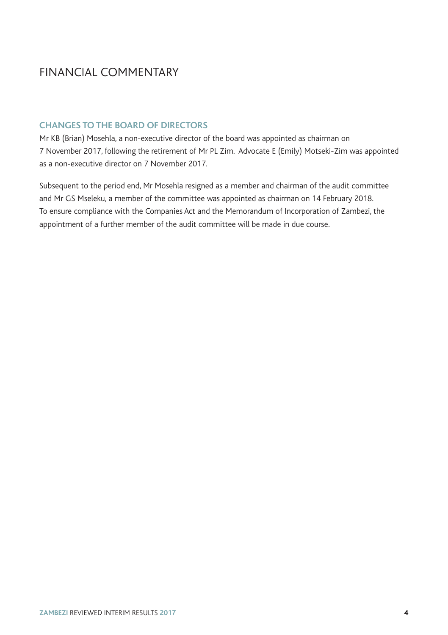# FINANCIAL COMMENTARY

### **CHANGES TO THE BOARD OF DIRECTORS**

Mr KB (Brian) Mosehla, a non-executive director of the board was appointed as chairman on 7 November 2017, following the retirement of Mr PL Zim. Advocate E (Emily) Motseki-Zim was appointed as a non-executive director on 7 November 2017.

Subsequent to the period end, Mr Mosehla resigned as a member and chairman of the audit committee and Mr GS Mseleku, a member of the committee was appointed as chairman on 14 February 2018. To ensure compliance with the Companies Act and the Memorandum of Incorporation of Zambezi, the appointment of a further member of the audit committee will be made in due course.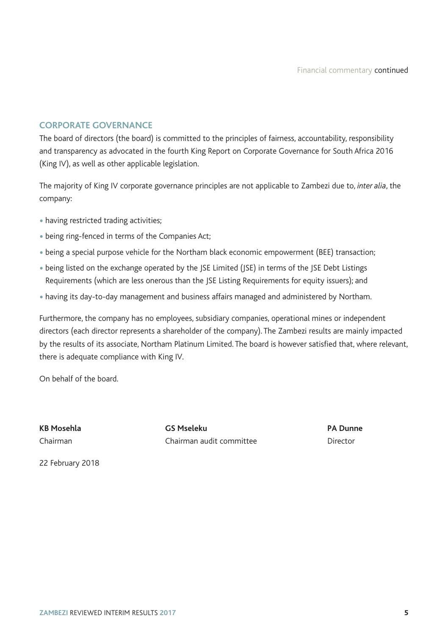### **CORPORATE GOVERNANCE**

The board of directors (the board) is committed to the principles of fairness, accountability, responsibility and transparency as advocated in the fourth King Report on Corporate Governance for South Africa 2016 (King IV), as well as other applicable legislation.

The majority of King IV corporate governance principles are not applicable to Zambezi due to, *inter alia*, the company:

- having restricted trading activities;
- being ring-fenced in terms of the Companies Act;
- being a special purpose vehicle for the Northam black economic empowerment (BEE) transaction;
- being listed on the exchange operated by the JSE Limited (JSE) in terms of the JSE Debt Listings Requirements (which are less onerous than the JSE Listing Requirements for equity issuers); and
- having its day-to-day management and business affairs managed and administered by Northam.

Furthermore, the company has no employees, subsidiary companies, operational mines or independent directors (each director represents a shareholder of the company). The Zambezi results are mainly impacted by the results of its associate, Northam Platinum Limited. The board is however satisfied that, where relevant, there is adequate compliance with King IV.

On behalf of the board.

**KB Mosehla GS Mseleku PA Dunne** Chairman Chairman audit committee Director

22 February 2018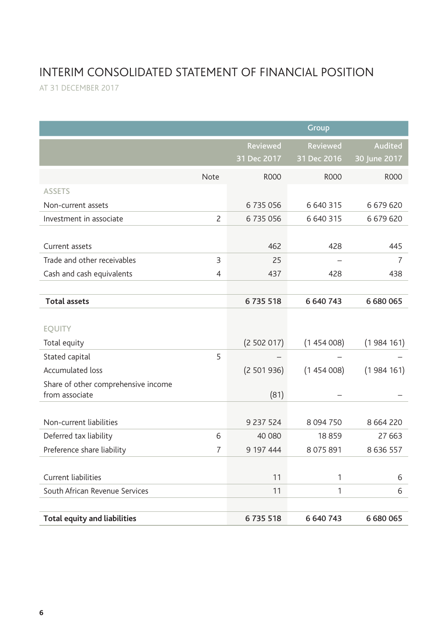# INTERIM CONSOLIDATED STATEMENT OF FINANCIAL POSITION

AT 31 DECEMBER 2017

|                                                       |                |             | Group         |               |
|-------------------------------------------------------|----------------|-------------|---------------|---------------|
|                                                       |                | Reviewed    | Reviewed      | Audited       |
|                                                       |                | 31 Dec 2017 | 31 Dec 2016   | 30 June 2017  |
|                                                       | Note           | <b>ROOO</b> | <b>ROOO</b>   | <b>ROOO</b>   |
| <b>ASSETS</b>                                         |                |             |               |               |
| Non-current assets                                    |                | 6735056     | 6 640 315     | 6679620       |
| Investment in associate                               | $\overline{c}$ | 6735056     | 6 640 315     | 6679620       |
|                                                       |                |             |               |               |
| Current assets                                        |                | 462         | 428           | 445           |
| Trade and other receivables                           | 3              | 25          |               | 7             |
| Cash and cash equivalents                             | 4              | 437         | 428           | 438           |
|                                                       |                |             |               |               |
| <b>Total assets</b>                                   |                | 6735518     | 6 640 743     | 6 680 065     |
|                                                       |                |             |               |               |
| <b>EOUITY</b>                                         |                |             |               |               |
| Total equity                                          |                | (2502017)   | (1454008)     | (1984161)     |
| Stated capital                                        | 5              |             |               |               |
| <b>Accumulated loss</b>                               |                | (2501936)   | (1454008)     | (1984161)     |
| Share of other comprehensive income<br>from associate |                |             |               |               |
|                                                       |                | (81)        |               |               |
| Non-current liabilities                               |                | 9 237 524   | 8 0 9 4 7 5 0 | 8 6 6 4 2 2 0 |
| Deferred tax liability                                | 6              | 40 080      | 18859         | 27 663        |
| Preference share liability                            | 7              | 9 197 444   | 8 0 7 5 8 9 1 | 8 6 3 6 5 5 7 |
|                                                       |                |             |               |               |
| Current liabilities                                   |                | 11          | 1             | 6             |
| South African Revenue Services                        |                | 11          | 1             | 6             |
|                                                       |                |             |               |               |
| <b>Total equity and liabilities</b>                   |                | 6735518     | 6 640 743     | 6680065       |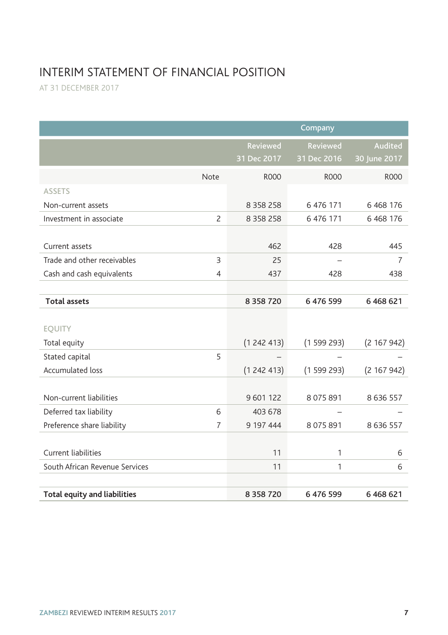# INTERIM STATEMENT OF FINANCIAL POSITION

AT 31 DECEMBER 2017

|                                     |                |               | Company       |               |
|-------------------------------------|----------------|---------------|---------------|---------------|
|                                     |                | Reviewed      | Reviewed      | Audited       |
|                                     |                | 31 Dec 2017   | 31 Dec 2016   | 30 June 2017  |
|                                     | Note           | <b>ROOO</b>   | <b>ROOO</b>   | <b>ROOO</b>   |
| <b>ASSETS</b>                       |                |               |               |               |
| Non-current assets                  |                | 8 3 5 8 2 5 8 | 6 476 171     | 6 4 68 176    |
| Investment in associate             | $\overline{c}$ | 8 3 5 8 2 5 8 | 6 476 171     | 6 4 68 176    |
|                                     |                |               |               |               |
| Current assets                      |                | 462           | 428           | 445           |
| Trade and other receivables         | 3              | 25            |               | 7             |
| Cash and cash equivalents           | 4              | 437           | 428           | 438           |
|                                     |                |               |               |               |
| <b>Total assets</b>                 |                | 8 3 5 8 7 2 0 | 6476599       | 6 468 621     |
|                                     |                |               |               |               |
| <b>EOUITY</b>                       |                |               |               |               |
| Total equity                        |                | (1242413)     | (1599293)     | (2 167 942)   |
| Stated capital                      | 5              |               |               |               |
| <b>Accumulated loss</b>             |                | (1242413)     | (1599293)     | (2 167 942)   |
|                                     |                |               |               |               |
| Non-current liabilities             |                | 9 601 122     | 8 0 7 5 8 9 1 | 8 6 3 6 5 5 7 |
| Deferred tax liability              | 6              | 403 678       |               |               |
| Preference share liability          | 7              | 9 197 444     | 8 0 7 5 8 9 1 | 8 6 3 6 5 5 7 |
|                                     |                |               |               |               |
| Current liabilities                 |                | 11            | $\mathbf{1}$  | 6             |
| South African Revenue Services      |                | 11            | 1             | 6             |
|                                     |                |               |               |               |
| <b>Total equity and liabilities</b> |                | 8 3 5 8 7 2 0 | 6 476 599     | 6 4 6 8 6 2 1 |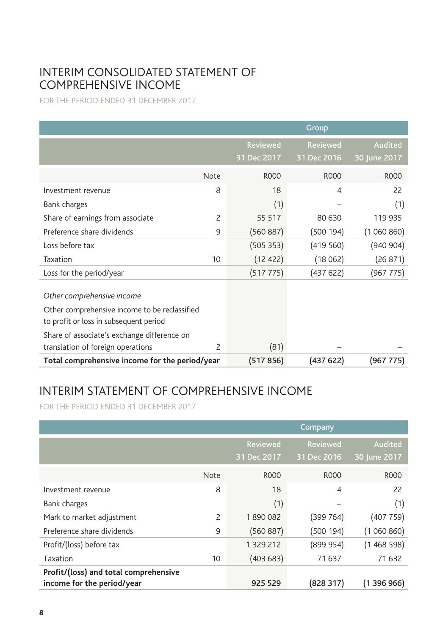## INTERIM CONSOLIDATED STATEMENT OF COMPREHENSIVE INCOME

FOR THE PERIOD ENDED 31 DECEMBER 2017

|                                                                                                                                                                      |      |                         | Group                          |                                |
|----------------------------------------------------------------------------------------------------------------------------------------------------------------------|------|-------------------------|--------------------------------|--------------------------------|
|                                                                                                                                                                      |      | Reviewed<br>31 Dec 2017 | <b>Reviewed</b><br>31 Dec 2016 | <b>Audited</b><br>30 June 2017 |
|                                                                                                                                                                      | Note | <b>ROOO</b>             | <b>ROOO</b>                    | <b>ROOO</b>                    |
| Investment revenue                                                                                                                                                   | 8    | 18                      | $\overline{4}$                 | 22                             |
| Bank charges                                                                                                                                                         |      | (1)                     |                                | (1)                            |
| Share of earnings from associate                                                                                                                                     | 2    | 55 517                  | 80 630                         | 119 935                        |
| Preference share dividends                                                                                                                                           | 9    | (560 887)               | (500 194)                      | (1060860)                      |
| Loss before tax                                                                                                                                                      |      | (505 353)               | (419560)                       | (940904)                       |
| Taxation                                                                                                                                                             | 10   | (12 422)                | (18062)                        | (26 871)                       |
| Loss for the period/year                                                                                                                                             |      | (517 775)               | (437622)                       | (967 775)                      |
| Other comprehensive income<br>Other comprehensive income to be reclassified<br>to profit or loss in subsequent period<br>Share of associate's exchange difference on |      |                         |                                |                                |
| translation of foreign operations                                                                                                                                    | 2    | (81)                    |                                |                                |
| Total comprehensive income for the period/year                                                                                                                       |      | (517 856)               | (437622)                       | (967 775)                      |

# INTERIM STATEMENT OF COMPREHENSIVE INCOME

FOR THE PERIOD ENDED 31 DECEMBER 2017

|                                                                     |             |                  | Company          |                  |
|---------------------------------------------------------------------|-------------|------------------|------------------|------------------|
|                                                                     |             | Reviewed         | Reviewed         | Audited          |
|                                                                     |             | 31 Dec 2017      | 31 Dec 2016      | 30 June 2017     |
|                                                                     | <b>Note</b> | R <sub>000</sub> | R <sub>000</sub> | R <sub>000</sub> |
| Investment revenue                                                  | 8           | 18               | $\overline{4}$   | 22               |
| Bank charges                                                        |             | (1)              |                  | (1)              |
| Mark to market adjustment                                           | 2           | 1890082          | (399 764)        | (407759)         |
| Preference share dividends                                          | 9           | (560 887)        | (500194)         | (1060860)        |
| Profit/(loss) before tax                                            |             | 1 329 212        | (899954)         | (1468598)        |
| Taxation                                                            | 10          | (403683)         | 71637            | 71 632           |
| Profit/(loss) and total comprehensive<br>income for the period/year |             | 925 529          | (828317)         | (1 396 966)      |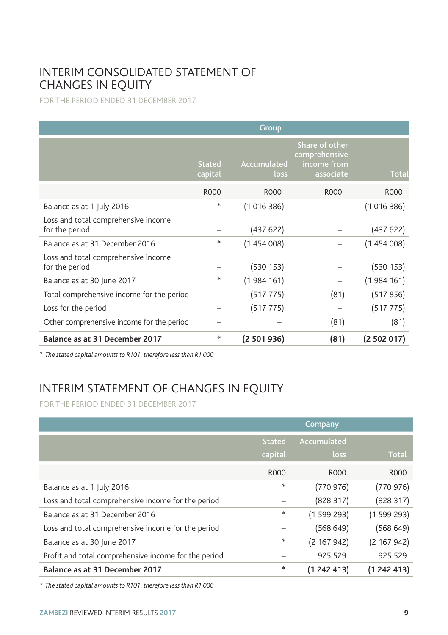## INTERIM CONSOLIDATED STATEMENT OF CHANGES IN EQUITY

FOR THE PERIOD ENDED 31 DECEMBER 2017

|                                                       |                          | Group               |                                                             |           |
|-------------------------------------------------------|--------------------------|---------------------|-------------------------------------------------------------|-----------|
|                                                       | <b>Stated</b><br>capital | Accumulated<br>loss | Share of other<br>comprehensive<br>income from<br>associate | Total     |
|                                                       | <b>ROOO</b>              | <b>ROOO</b>         | <b>ROOO</b>                                                 | R000      |
| Balance as at 1 July 2016                             | *                        | (1016386)           |                                                             | (1016386) |
| Loss and total comprehensive income<br>for the period |                          | (437622)            |                                                             | (437622)  |
| Balance as at 31 December 2016                        | *                        | (1454008)           |                                                             | (1454008) |
| Loss and total comprehensive income<br>for the period |                          | (530153)            |                                                             | (530153)  |
| Balance as at 30 June 2017                            | *                        | (1984161)           |                                                             | (1984161) |
| Total comprehensive income for the period             |                          | (517 775)           | (81)                                                        | (517856)  |
| Loss for the period                                   |                          | (517 775)           |                                                             | (517 775) |
| Other comprehensive income for the period             |                          |                     | (81)                                                        | (81)      |
| Balance as at 31 December 2017                        | *                        | (2 501 936)         | (81)                                                        | (2502017) |

*\* The stated capital amounts to R101, therefore less than R1 000*

# INTERIM STATEMENT OF CHANGES IN EQUITY

FOR THE PERIOD ENDED 31 DECEMBER 2017

|                                                      |               | <b>Company</b>   |             |
|------------------------------------------------------|---------------|------------------|-------------|
|                                                      | <b>Stated</b> | Accumulated      |             |
|                                                      | capital       | loss             | Total       |
|                                                      | R000          | R <sub>000</sub> | R000        |
| Balance as at 1 July 2016                            | *             | (770976)         | (770976)    |
| Loss and total comprehensive income for the period   |               | (828317)         | (828317)    |
| Balance as at 31 December 2016                       | *             | (1599293)        | (1599293)   |
| Loss and total comprehensive income for the period   |               | (568649)         | (568649)    |
| Balance as at 30 June 2017                           | *             | (2 167 942)      | (2167942)   |
| Profit and total comprehensive income for the period |               | 925 529          | 925 529     |
| Balance as at 31 December 2017                       | $\ast$        | (1242413)        | (1 242 413) |

*\* The stated capital amounts to R101, therefore less than R1 000*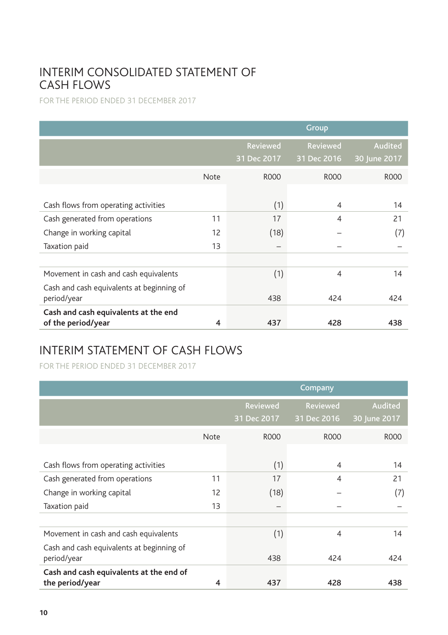## INTERIM CONSOLIDATED STATEMENT OF CASH FLOWS

FOR THE PERIOD ENDED 31 DECEMBER 2017

|                                                            |             |                                | Group                          |                                |
|------------------------------------------------------------|-------------|--------------------------------|--------------------------------|--------------------------------|
|                                                            |             | <b>Reviewed</b><br>31 Dec 2017 | <b>Reviewed</b><br>31 Dec 2016 | <b>Audited</b><br>30 June 2017 |
|                                                            | <b>Note</b> | <b>ROOO</b>                    | R000                           | R000                           |
| Cash flows from operating activities                       |             | (1)                            | 4                              | 14                             |
| Cash generated from operations                             | 11          | 17                             | 4                              | 21                             |
| Change in working capital                                  | 12          | (18)                           |                                | (7)                            |
| Taxation paid                                              | 13          |                                |                                |                                |
|                                                            |             |                                |                                |                                |
| Movement in cash and cash equivalents                      |             | (1)                            | $\overline{4}$                 | 14                             |
| Cash and cash equivalents at beginning of<br>period/year   |             | 438                            | 424                            | 424                            |
| Cash and cash equivalents at the end<br>of the period/year | 4           | 437                            | 428                            | 438                            |

# INTERIM STATEMENT OF CASH FLOWS

FOR THE PERIOD ENDED 31 DECEMBER 2017

|                                                            |             | Company                 |                         |                         |  |
|------------------------------------------------------------|-------------|-------------------------|-------------------------|-------------------------|--|
|                                                            |             | Reviewed<br>31 Dec 2017 | Reviewed<br>31 Dec 2016 | Audited<br>30 June 2017 |  |
|                                                            | <b>Note</b> | <b>ROOO</b>             | <b>ROOO</b>             | R000                    |  |
| Cash flows from operating activities                       |             | (1)                     | 4                       | 14                      |  |
| Cash generated from operations                             | 11          | 17                      | 4                       | 21                      |  |
| Change in working capital                                  | 12          | (18)                    |                         | (7)                     |  |
| Taxation paid                                              | 13          |                         |                         |                         |  |
|                                                            |             |                         |                         |                         |  |
| Movement in cash and cash equivalents                      |             | (1)                     | 4                       | 14                      |  |
| Cash and cash equivalents at beginning of<br>period/year   |             | 438                     | 424                     | 424                     |  |
| Cash and cash equivalents at the end of<br>the period/year | 4           | 437                     | 428                     | 438                     |  |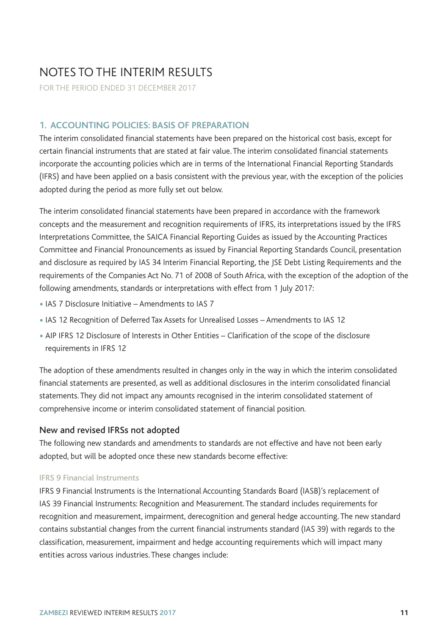# NOTES TO THE INTERIM RESULTS

FOR THE PERIOD ENDED 31 DECEMBER 2017

### **1. ACCOUNTING POLICIES: BASIS OF PREPARATION**

The interim consolidated financial statements have been prepared on the historical cost basis, except for certain financial instruments that are stated at fair value. The interim consolidated financial statements incorporate the accounting policies which are in terms of the International Financial Reporting Standards (IFRS) and have been applied on a basis consistent with the previous year, with the exception of the policies adopted during the period as more fully set out below.

The interim consolidated financial statements have been prepared in accordance with the framework concepts and the measurement and recognition requirements of IFRS, its interpretations issued by the IFRS Interpretations Committee, the SAICA Financial Reporting Guides as issued by the Accounting Practices Committee and Financial Pronouncements as issued by Financial Reporting Standards Council, presentation and disclosure as required by IAS 34 Interim Financial Reporting, the JSE Debt Listing Requirements and the requirements of the Companies Act No. 71 of 2008 of South Africa, with the exception of the adoption of the following amendments, standards or interpretations with effect from 1 July 2017:

- •IAS 7 Disclosure Initiative Amendments to IAS 7
- •IAS 12 Recognition of Deferred Tax Assets for Unrealised Losses Amendments to IAS 12
- AIP IFRS 12 Disclosure of Interests in Other Entities Clarification of the scope of the disclosure requirements in IFRS 12

The adoption of these amendments resulted in changes only in the way in which the interim consolidated financial statements are presented, as well as additional disclosures in the interim consolidated financial statements. They did not impact any amounts recognised in the interim consolidated statement of comprehensive income or interim consolidated statement of financial position.

### New and revised IFRSs not adopted

The following new standards and amendments to standards are not effective and have not been early adopted, but will be adopted once these new standards become effective:

#### IFRS 9 Financial Instruments

IFRS 9 Financial Instruments is the International Accounting Standards Board (IASB)'s replacement of IAS 39 Financial Instruments: Recognition and Measurement. The standard includes requirements for recognition and measurement, impairment, derecognition and general hedge accounting. The new standard contains substantial changes from the current financial instruments standard (IAS 39) with regards to the classification, measurement, impairment and hedge accounting requirements which will impact many entities across various industries. These changes include: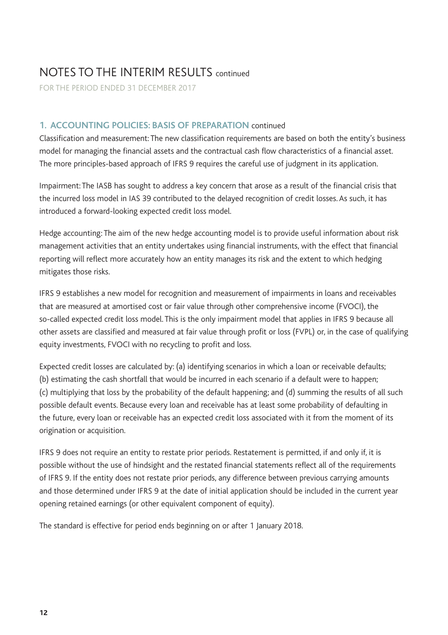FOR THE PERIOD ENDED 31 DECEMBER 2017

### **1. ACCOUNTING POLICIES: BASIS OF PREPARATION** continued

Classification and measurement: The new classification requirements are based on both the entity's business model for managing the financial assets and the contractual cash flow characteristics of a financial asset. The more principles-based approach of IFRS 9 requires the careful use of judgment in its application.

Impairment: The IASB has sought to address a key concern that arose as a result of the financial crisis that the incurred loss model in IAS 39 contributed to the delayed recognition of credit losses. As such, it has introduced a forward-looking expected credit loss model.

Hedge accounting: The aim of the new hedge accounting model is to provide useful information about risk management activities that an entity undertakes using financial instruments, with the effect that financial reporting will reflect more accurately how an entity manages its risk and the extent to which hedging mitigates those risks.

IFRS 9 establishes a new model for recognition and measurement of impairments in loans and receivables that are measured at amortised cost or fair value through other comprehensive income (FVOCI), the so-called expected credit loss model. This is the only impairment model that applies in IFRS 9 because all other assets are classified and measured at fair value through profit or loss (FVPL) or, in the case of qualifying equity investments, FVOCI with no recycling to profit and loss.

Expected credit losses are calculated by: (a) identifying scenarios in which a loan or receivable defaults; (b) estimating the cash shortfall that would be incurred in each scenario if a default were to happen; (c) multiplying that loss by the probability of the default happening; and (d) summing the results of all such possible default events. Because every loan and receivable has at least some probability of defaulting in the future, every loan or receivable has an expected credit loss associated with it from the moment of its origination or acquisition.

IFRS 9 does not require an entity to restate prior periods. Restatement is permitted, if and only if, it is possible without the use of hindsight and the restated financial statements reflect all of the requirements of IFRS 9. If the entity does not restate prior periods, any difference between previous carrying amounts and those determined under IFRS 9 at the date of initial application should be included in the current year opening retained earnings (or other equivalent component of equity).

The standard is effective for period ends beginning on or after 1 January 2018.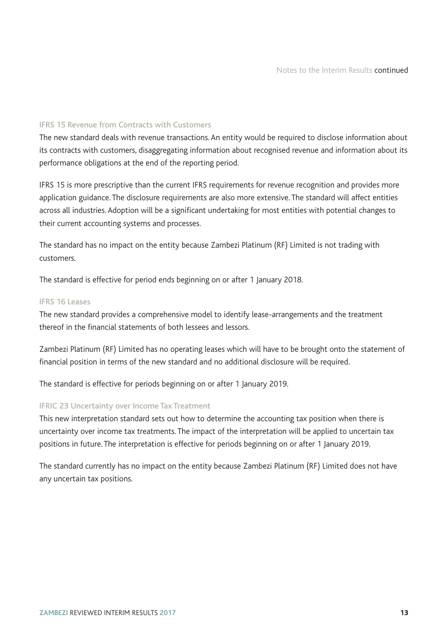### IFRS 15 Revenue from Contracts with Customers

The new standard deals with revenue transactions. An entity would be required to disclose information about its contracts with customers, disaggregating information about recognised revenue and information about its performance obligations at the end of the reporting period.

IFRS 15 is more prescriptive than the current IFRS requirements for revenue recognition and provides more application guidance. The disclosure requirements are also more extensive. The standard will affect entities across all industries. Adoption will be a significant undertaking for most entities with potential changes to their current accounting systems and processes.

The standard has no impact on the entity because Zambezi Platinum (RF) Limited is not trading with customers.

The standard is effective for period ends beginning on or after 1 January 2018.

#### IFRS 16 Leases

The new standard provides a comprehensive model to identify lease-arrangements and the treatment thereof in the financial statements of both lessees and lessors.

Zambezi Platinum (RF) Limited has no operating leases which will have to be brought onto the statement of financial position in terms of the new standard and no additional disclosure will be required.

The standard is effective for periods beginning on or after 1 January 2019.

### IFRIC 23 Uncertainty over Income Tax Treatment

This new interpretation standard sets out how to determine the accounting tax position when there is uncertainty over income tax treatments. The impact of the interpretation will be applied to uncertain tax positions in future. The interpretation is effective for periods beginning on or after 1 January 2019.

The standard currently has no impact on the entity because Zambezi Platinum (RF) Limited does not have any uncertain tax positions.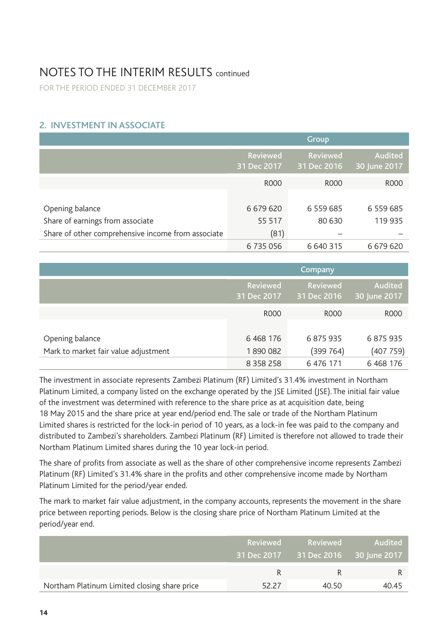FOR THE PERIOD ENDED 31 DECEMBER 2017

### **2. INVESTMENT IN ASSOCIATE**

|                                                    |                         | Group                   |                         |
|----------------------------------------------------|-------------------------|-------------------------|-------------------------|
|                                                    | Reviewed<br>31 Dec 2017 | Reviewed<br>31 Dec 2016 | Audited<br>30 June 2017 |
|                                                    | R000                    | R <sub>000</sub>        | <b>ROOO</b>             |
|                                                    |                         |                         |                         |
| Opening balance                                    | 6 6 7 9 6 20            | 6 559 685               | 6 559 685               |
| Share of earnings from associate                   | 55 517                  | 80 630                  | 119 935                 |
| Share of other comprehensive income from associate | (81)                    |                         |                         |
|                                                    | 6 735 056               | 6 640 315               | 6 679 620               |

|                                      |                         | <b>Company</b>          |                         |
|--------------------------------------|-------------------------|-------------------------|-------------------------|
|                                      | Reviewed<br>31 Dec 2017 | Reviewed<br>31 Dec 2016 | Audited<br>30 June 2017 |
|                                      | <b>ROOO</b>             | R000                    | R000                    |
|                                      |                         |                         |                         |
| Opening balance                      | 6 4 68 176              | 6875935                 | 6875935                 |
| Mark to market fair value adjustment | 1890082                 | (399 764)               | (407759)                |
|                                      | 8 3 5 8 2 5 8           | 6 476 171               | 6 4 68 176              |

The investment in associate represents Zambezi Platinum (RF) Limited's 31.4% investment in Northam Platinum Limited, a company listed on the exchange operated by the JSE Limited (JSE). The initial fair value of the investment was determined with reference to the share price as at acquisition date, being 18 May 2015 and the share price at year end/period end. The sale or trade of the Northam Platinum Limited shares is restricted for the lock-in period of 10 years, as a lock-in fee was paid to the company and distributed to Zambezi's shareholders. Zambezi Platinum (RF) Limited is therefore not allowed to trade their Northam Platinum Limited shares during the 10 year lock-in period.

The share of profits from associate as well as the share of other comprehensive income represents Zambezi Platinum (RF) Limited's 31.4% share in the profits and other comprehensive income made by Northam Platinum Limited for the period/year ended.

The mark to market fair value adjustment, in the company accounts, represents the movement in the share price between reporting periods. Below is the closing share price of Northam Platinum Limited at the period/year end.

|                                              |       | Reviewed Reviewed                    | - Audited <b>Audited</b> |
|----------------------------------------------|-------|--------------------------------------|--------------------------|
|                                              |       | 31 Dec 2017 31 Dec 2016 30 June 2017 |                          |
|                                              |       |                                      |                          |
| Northam Platinum Limited closing share price | 52.27 | 40.50                                | 40.45                    |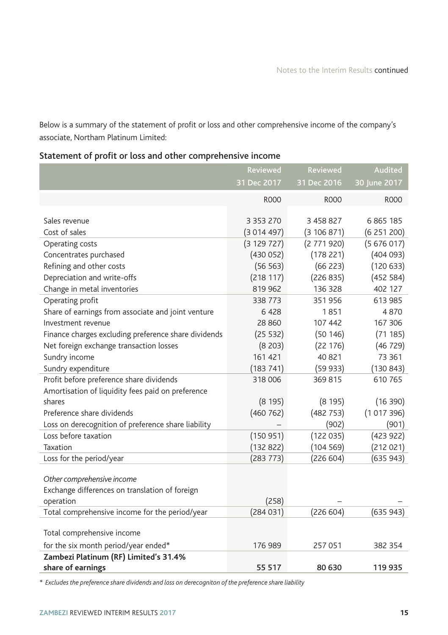Below is a summary of the statement of profit or loss and other comprehensive income of the company's associate, Northam Platinum Limited:

## Statement of profit or loss and other comprehensive income

|                                                      | Reviewed      | Reviewed    | Audited      |
|------------------------------------------------------|---------------|-------------|--------------|
|                                                      | 31 Dec 2017   | 31 Dec 2016 | 30 June 2017 |
|                                                      | <b>ROOO</b>   | <b>ROOO</b> | <b>ROOO</b>  |
|                                                      |               |             |              |
| Sales revenue                                        | 3 3 5 3 2 7 0 | 3 458 827   | 6865185      |
| Cost of sales                                        | (3014497)     | (3106871)   | (6251200)    |
| Operating costs                                      | (3 129 727)   | (2771920)   | (5676017)    |
| Concentrates purchased                               | (430052)      | (178 221)   | (404093)     |
| Refining and other costs                             | (56 563)      | (66 223)    | (120633)     |
| Depreciation and write-offs                          | (218117)      | (226 835)   | (452 584)    |
| Change in metal inventories                          | 819 962       | 136 328     | 402 127      |
| Operating profit                                     | 338 773       | 351956      | 613 985      |
| Share of earnings from associate and joint venture   | 6 4 2 8       | 1851        | 4870         |
| Investment revenue                                   | 28 860        | 107 442     | 167 306      |
| Finance charges excluding preference share dividends | (25 532)      | (50146)     | (71185)      |
| Net foreign exchange transaction losses              | (8203)        | (22 176)    | (46729)      |
| Sundry income                                        | 161 421       | 40 821      | 73 361       |
| Sundry expenditure                                   | (183 741)     | (59933)     | (130 843)    |
| Profit before preference share dividends             | 318 006       | 369 815     | 610 765      |
| Amortisation of liquidity fees paid on preference    |               |             |              |
| shares                                               | (8195)        | (8195)      | (16 390)     |
| Preference share dividends                           | (460 762)     | (482 753)   | (1017396)    |
| Loss on derecognition of preference share liability  |               | (902)       | (901)        |
| Loss before taxation                                 | (150951)      | (122035)    | (423922)     |
| Taxation                                             | (132 822)     | (104569)    | (212021)     |
| Loss for the period/year                             | (283 773)     | (226 604)   | (635 943)    |
|                                                      |               |             |              |
| Other comprehensive income                           |               |             |              |
| Exchange differences on translation of foreign       |               |             |              |
| operation                                            | (258)         |             |              |
| Total comprehensive income for the period/year       | (284031)      | (226 604)   | (635943)     |
| Total comprehensive income                           |               |             |              |
| for the six month period/year ended*                 | 176 989       | 257 051     | 382 354      |
| Zambezi Platinum (RF) Limited's 31.4%                |               |             |              |
| share of earnings                                    | 55 517        | 80 630      | 119 935      |

*\* Excludes the preference share dividends and loss on derecogniton of the preference share liability*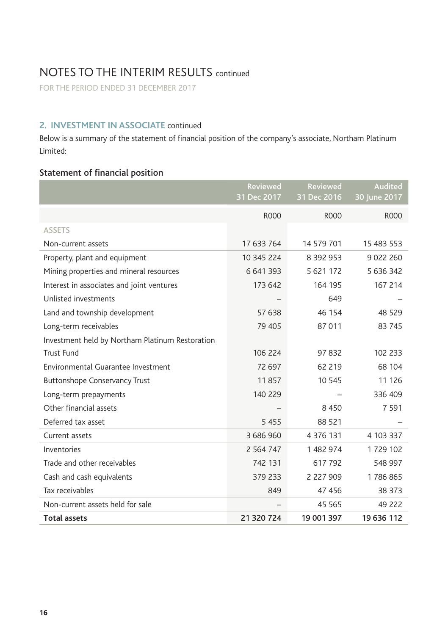FOR THE PERIOD ENDED 31 DECEMBER 2017

## **2. INVESTMENT IN ASSOCIATE** continued

Below is a summary of the statement of financial position of the company's associate, Northam Platinum Limited:

### Statement of financial position

|                                                 | Reviewed<br>31 Dec 2017 | Reviewed<br>31 Dec 2016 | Audited<br>30 June 2017 |
|-------------------------------------------------|-------------------------|-------------------------|-------------------------|
|                                                 | <b>ROOO</b>             | <b>ROOO</b>             | <b>ROOO</b>             |
| <b>ASSETS</b>                                   |                         |                         |                         |
| Non-current assets                              | 17 633 764              | 14 579 701              | 15 483 553              |
| Property, plant and equipment                   | 10 345 224              | 8 3 9 2 9 5 3           | 9 0 2 2 2 6 0           |
| Mining properties and mineral resources         | 6 641 393               | 5 621 172               | 5 636 342               |
| Interest in associates and joint ventures       | 173 642                 | 164 195                 | 167 214                 |
| Unlisted investments                            |                         | 649                     |                         |
| Land and township development                   | 57 638                  | 46 154                  | 48 529                  |
| Long-term receivables                           | 79 405                  | 87011                   | 83 745                  |
| Investment held by Northam Platinum Restoration |                         |                         |                         |
| Trust Fund                                      | 106 224                 | 97832                   | 102 233                 |
| Environmental Guarantee Investment              | 72 697                  | 62 2 19                 | 68 104                  |
| <b>Buttonshope Conservancy Trust</b>            | 11857                   | 10 545                  | 11 126                  |
| Long-term prepayments                           | 140 229                 |                         | 336 409                 |
| Other financial assets                          |                         | 8 4 5 0                 | 7 5 9 1                 |
| Deferred tax asset                              | 5455                    | 88 521                  |                         |
| Current assets                                  | 3 686 960               | 4 3 7 6 1 3 1           | 4 103 337               |
| Inventories                                     | 2 5 6 4 7 4 7           | 1482974                 | 1729 102                |
| Trade and other receivables                     | 742 131                 | 617792                  | 548 997                 |
| Cash and cash equivalents                       | 379 233                 | 2 2 2 7 9 0 9           | 1786865                 |
| Tax receivables                                 | 849                     | 47 45 6                 | 38 373                  |
| Non-current assets held for sale                |                         | 45 5 65                 | 49 222                  |
| <b>Total assets</b>                             | 21 320 724              | 19 001 397              | 19 636 112              |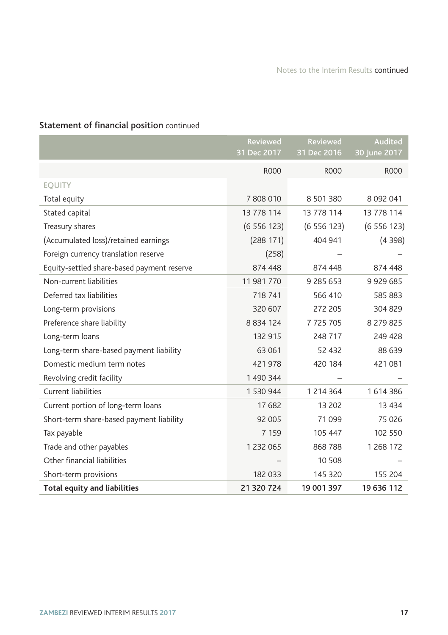## Statement of financial position continued

|                                            | Reviewed<br>31 Dec 2017 | Reviewed<br>31 Dec 2016 | Audited<br>30 June 2017 |
|--------------------------------------------|-------------------------|-------------------------|-------------------------|
|                                            | <b>ROOO</b>             | <b>ROOO</b>             | <b>ROOO</b>             |
| <b>EQUITY</b>                              |                         |                         |                         |
| Total equity                               | 7808010                 | 8 501 380               | 8 0 9 2 0 4 1           |
| Stated capital                             | 13 778 114              | 13 778 114              | 13 778 114              |
| Treasury shares                            | (6556123)               | (6556123)               | (6556123)               |
| (Accumulated loss)/retained earnings       | (288 171)               | 404 941                 | (4398)                  |
| Foreign currency translation reserve       | (258)                   |                         |                         |
| Equity-settled share-based payment reserve | 874 448                 | 874 448                 | 874 448                 |
| Non-current liabilities                    | 11 981 770              | 9 285 653               | 9 9 2 9 6 8 5           |
| Deferred tax liabilities                   | 718 741                 | 566 410                 | 585 883                 |
| Long-term provisions                       | 320 607                 | 272 205                 | 304 829                 |
| Preference share liability                 | 8 8 3 4 1 2 4           | 7 725 705               | 8 279 825               |
| Long-term loans                            | 132 915                 | 248 717                 | 249 428                 |
| Long-term share-based payment liability    | 63 061                  | 52 432                  | 88 639                  |
| Domestic medium term notes                 | 421978                  | 420 184                 | 421081                  |
| Revolving credit facility                  | 1 490 344               |                         |                         |
| <b>Current liabilities</b>                 | 1 530 944               | 1 2 1 4 3 6 4           | 1614386                 |
| Current portion of long-term loans         | 17682                   | 13 202                  | 13 4 34                 |
| Short-term share-based payment liability   | 92 005                  | 71 0 99                 | 75 0 26                 |
| Tax payable                                | 7 1 5 9                 | 105 447                 | 102 550                 |
| Trade and other payables                   | 1 2 3 2 0 6 5           | 868 788                 | 1 268 172               |
| Other financial liabilities                |                         | 10 508                  |                         |
| Short-term provisions                      | 182 033                 | 145 320                 | 155 204                 |
| <b>Total equity and liabilities</b>        | 21 320 724              | 19 001 397              | 19 636 112              |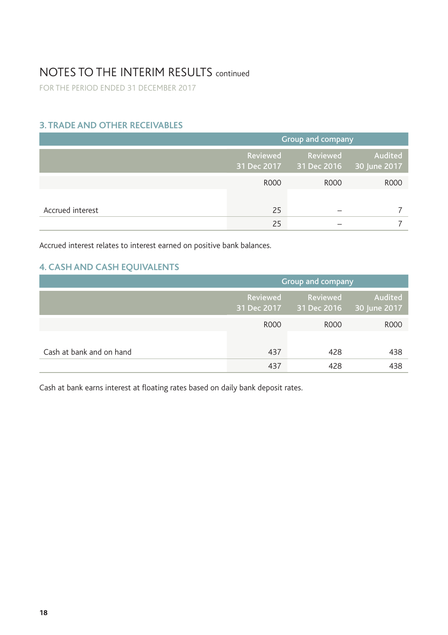FOR THE PERIOD ENDED 31 DECEMBER 2017

## **3. TRADE AND OTHER RECEIVABLES**

|                  | Group and company |                                                  |         |
|------------------|-------------------|--------------------------------------------------|---------|
|                  | Reviewed          | Reviewed<br>31 Dec 2017 31 Dec 2016 30 June 2017 | Audited |
|                  | <b>ROOO</b>       | R000                                             | R000    |
| Accrued interest | 25                |                                                  |         |
|                  | 25                |                                                  |         |

Accrued interest relates to interest earned on positive bank balances.

## **4. CASH AND CASH EQUIVALENTS**

|                          | Group and company |                                     |                         |
|--------------------------|-------------------|-------------------------------------|-------------------------|
|                          | Reviewed          | Reviewed<br>31 Dec 2017 31 Dec 2016 | Audited<br>30 June 2017 |
|                          | R000              | R000                                | R000                    |
|                          |                   |                                     |                         |
| Cash at bank and on hand | 437               | 428                                 | 438                     |
|                          | 437               | 428                                 | 438                     |

Cash at bank earns interest at floating rates based on daily bank deposit rates.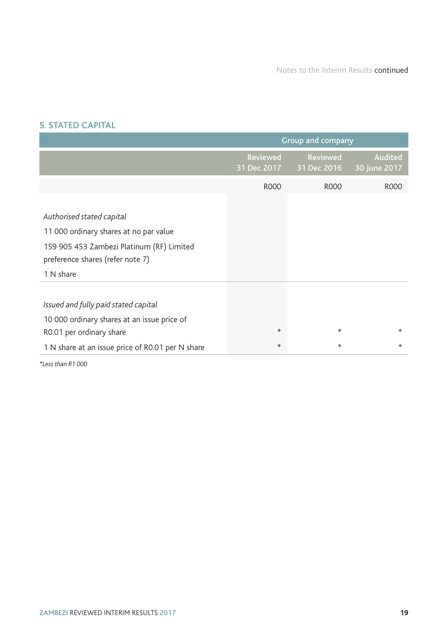### **5. STATED CAPITAL**

|                                                                                                                                                                   | Group and company       |                                |                         |
|-------------------------------------------------------------------------------------------------------------------------------------------------------------------|-------------------------|--------------------------------|-------------------------|
|                                                                                                                                                                   | Reviewed<br>31 Dec 2017 | <b>Reviewed</b><br>31 Dec 2016 | Audited<br>30 June 2017 |
|                                                                                                                                                                   | R000                    | R000                           | R000                    |
| Authorised stated capital<br>11 000 ordinary shares at no par value<br>159 905 453 Zambezi Platinum (RF) Limited<br>preference shares (refer note 7)<br>1 N share |                         |                                |                         |
| Issued and fully paid stated capital<br>10 000 ordinary shares at an issue price of<br>R0.01 per ordinary share                                                   | $*$<br>$\ast$           | *<br>*                         | $*$<br>*                |
| 1 N share at an issue price of R0.01 per N share                                                                                                                  |                         |                                |                         |

*\*Less than R1 000*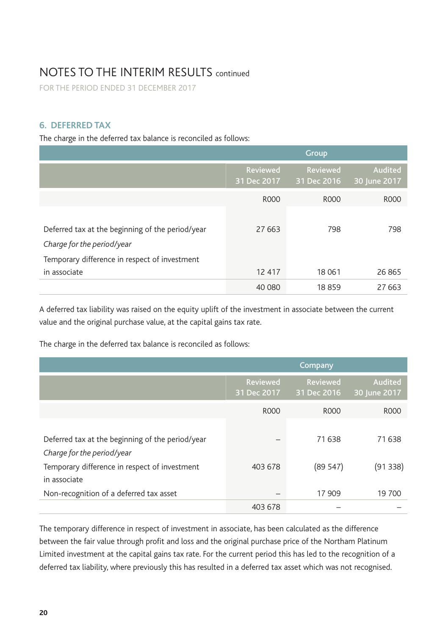FOR THE PERIOD ENDED 31 DECEMBER 2017

### **6. DEFERRED TAX**

The charge in the deferred tax balance is reconciled as follows:

|                                                  |                         | Group                   |                         |
|--------------------------------------------------|-------------------------|-------------------------|-------------------------|
|                                                  | Reviewed<br>31 Dec 2017 | Reviewed<br>31 Dec 2016 | Audited<br>30 June 2017 |
|                                                  | R000                    | R000                    | R <sub>000</sub>        |
|                                                  |                         |                         |                         |
| Deferred tax at the beginning of the period/year | 27 663                  | 798                     | 798                     |
| Charge for the period/year                       |                         |                         |                         |
| Temporary difference in respect of investment    |                         |                         |                         |
| in associate                                     | 12 417                  | 18 061                  | 26 865                  |
|                                                  | 40 080                  | 18859                   | 27 663                  |

A deferred tax liability was raised on the equity uplift of the investment in associate between the current value and the original purchase value, at the capital gains tax rate.

The charge in the deferred tax balance is reconciled as follows:

|                                                  |                         | Company                 |                         |
|--------------------------------------------------|-------------------------|-------------------------|-------------------------|
|                                                  | Reviewed<br>31 Dec 2017 | Reviewed<br>31 Dec 2016 | Audited<br>30 June 2017 |
|                                                  | R000                    | R000                    | R000                    |
|                                                  |                         |                         |                         |
| Deferred tax at the beginning of the period/year |                         | 71638                   | 71638                   |
| Charge for the period/year                       |                         |                         |                         |
| Temporary difference in respect of investment    | 403 678                 | (89547)                 | (91 338)                |
| in associate                                     |                         |                         |                         |
| Non-recognition of a deferred tax asset          |                         | 17 909                  | 19 700                  |
|                                                  | 403 678                 |                         |                         |

The temporary difference in respect of investment in associate, has been calculated as the difference between the fair value through profit and loss and the original purchase price of the Northam Platinum Limited investment at the capital gains tax rate. For the current period this has led to the recognition of a deferred tax liability, where previously this has resulted in a deferred tax asset which was not recognised.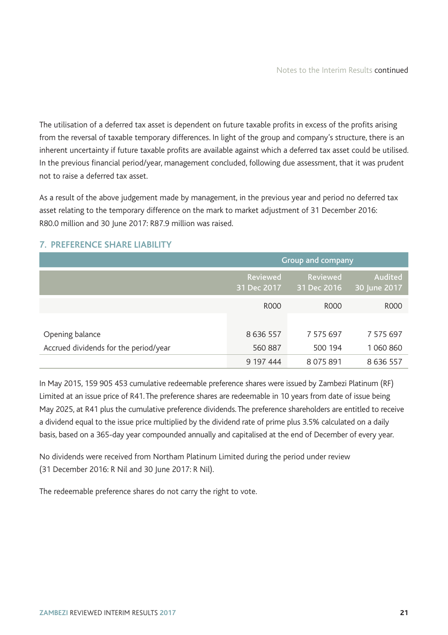The utilisation of a deferred tax asset is dependent on future taxable profits in excess of the profits arising from the reversal of taxable temporary differences. In light of the group and company's structure, there is an inherent uncertainty if future taxable profits are available against which a deferred tax asset could be utilised. In the previous financial period/year, management concluded, following due assessment, that it was prudent not to raise a deferred tax asset.

As a result of the above judgement made by management, in the previous year and period no deferred tax asset relating to the temporary difference on the mark to market adjustment of 31 December 2016: R80.0 million and 30 June 2017: R87.9 million was raised.

|                                       | Group and company              |                         |                         |
|---------------------------------------|--------------------------------|-------------------------|-------------------------|
|                                       | <b>Reviewed</b><br>31 Dec 2017 | Reviewed<br>31 Dec 2016 | Audited<br>30 June 2017 |
|                                       | R000                           | R000                    | R000                    |
|                                       |                                |                         |                         |
| Opening balance                       | 8 636 557                      | 7 575 697               | 7 575 697               |
| Accrued dividends for the period/year | 560 887                        | 500 194                 | 1060860                 |
|                                       | 9 197 444                      | 8075891                 | 8 636 557               |

## **7. PREFERENCE SHARE LIABILITY**

In May 2015, 159 905 453 cumulative redeemable preference shares were issued by Zambezi Platinum (RF) Limited at an issue price of R41. The preference shares are redeemable in 10 years from date of issue being May 2025, at R41 plus the cumulative preference dividends. The preference shareholders are entitled to receive a dividend equal to the issue price multiplied by the dividend rate of prime plus 3.5% calculated on a daily basis, based on a 365-day year compounded annually and capitalised at the end of December of every year.

No dividends were received from Northam Platinum Limited during the period under review (31 December 2016: R Nil and 30 June 2017: R Nil).

The redeemable preference shares do not carry the right to vote.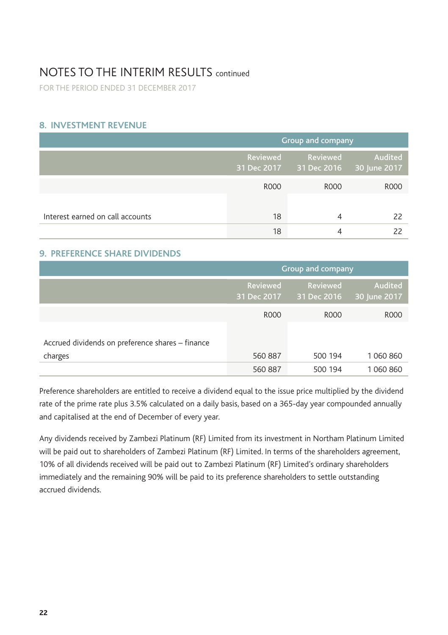FOR THE PERIOD ENDED 31 DECEMBER 2017

### **8. INVESTMENT REVENUE**

|                                  | Group and company |                                                  |         |
|----------------------------------|-------------------|--------------------------------------------------|---------|
|                                  | Reviewed          | Reviewed<br>31 Dec 2017 31 Dec 2016 30 June 2017 | Audited |
|                                  | <b>ROOO</b>       | R000                                             | R000    |
|                                  |                   |                                                  |         |
| Interest earned on call accounts | 18                | 4                                                | 22      |
|                                  | 18                |                                                  |         |

### **9. PREFERENCE SHARE DIVIDENDS**

|                                                             | Group and company              |                         |                         |
|-------------------------------------------------------------|--------------------------------|-------------------------|-------------------------|
|                                                             | <b>Reviewed</b><br>31 Dec 2017 | Reviewed<br>31 Dec 2016 | Audited<br>30 June 2017 |
|                                                             | <b>ROOO</b>                    | R000                    | R000                    |
| Accrued dividends on preference shares - finance<br>charges | 560 887                        | 500 194                 | 1 060 860               |
|                                                             | 560 887                        | 500 194                 | 1 060 860               |

Preference shareholders are entitled to receive a dividend equal to the issue price multiplied by the dividend rate of the prime rate plus 3.5% calculated on a daily basis, based on a 365-day year compounded annually and capitalised at the end of December of every year.

Any dividends received by Zambezi Platinum (RF) Limited from its investment in Northam Platinum Limited will be paid out to shareholders of Zambezi Platinum (RF) Limited. In terms of the shareholders agreement, 10% of all dividends received will be paid out to Zambezi Platinum (RF) Limited's ordinary shareholders immediately and the remaining 90% will be paid to its preference shareholders to settle outstanding accrued dividends.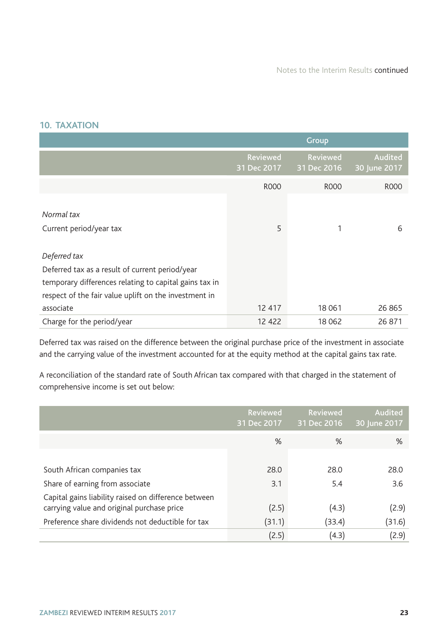### **10. TAXATION**

|                                                        |                         | Group                   |                         |
|--------------------------------------------------------|-------------------------|-------------------------|-------------------------|
|                                                        | Reviewed<br>31 Dec 2017 | Reviewed<br>31 Dec 2016 | Audited<br>30 June 2017 |
|                                                        | <b>ROOO</b>             | <b>ROOO</b>             | <b>ROOO</b>             |
| Normal tax<br>Current period/year tax                  | 5                       |                         | 6                       |
| Deferred tax                                           |                         |                         |                         |
| Deferred tax as a result of current period/year        |                         |                         |                         |
| temporary differences relating to capital gains tax in |                         |                         |                         |
| respect of the fair value uplift on the investment in  |                         |                         |                         |
| associate                                              | 12 417                  | 18 061                  | 26 865                  |
| Charge for the period/year                             | 12 422                  | 18 0 62                 | 26 871                  |

Deferred tax was raised on the difference between the original purchase price of the investment in associate and the carrying value of the investment accounted for at the equity method at the capital gains tax rate.

A reconciliation of the standard rate of South African tax compared with that charged in the statement of comprehensive income is set out below:

|                                                      | <b>Reviewed</b><br>31 Dec 2017 | Reviewed<br>31 Dec 2016 | Audited<br>30 June 2017 |
|------------------------------------------------------|--------------------------------|-------------------------|-------------------------|
|                                                      | %                              | %                       | %                       |
|                                                      |                                |                         |                         |
| South African companies tax                          | 28.0                           | 28.0                    | 28.0                    |
| Share of earning from associate                      | 3.1                            | 5.4                     | 3.6                     |
| Capital gains liability raised on difference between |                                |                         |                         |
| carrying value and original purchase price           | (2.5)                          | (4.3)                   | (2.9)                   |
| Preference share dividends not deductible for tax    | (31.1)                         | (33.4)                  | (31.6)                  |
|                                                      | (2.5)                          | (4.3)                   | (2.9)                   |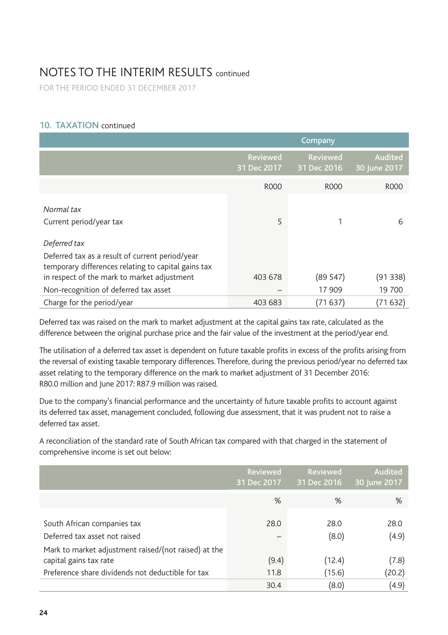FOR THE PERIOD ENDED 31 DECEMBER 2017

### **10. TAXATION** continued

|                                                                                                                        | Company                        |                                |                         |  |
|------------------------------------------------------------------------------------------------------------------------|--------------------------------|--------------------------------|-------------------------|--|
|                                                                                                                        | <b>Reviewed</b><br>31 Dec 2017 | <b>Reviewed</b><br>31 Dec 2016 | Audited<br>30 June 2017 |  |
|                                                                                                                        | R000                           | R000                           | R000                    |  |
| Normal tax<br>Current period/year tax                                                                                  | 5                              |                                | 6                       |  |
| Deferred tax<br>Deferred tax as a result of current period/year<br>temporary differences relating to capital gains tax |                                |                                |                         |  |
| in respect of the mark to market adjustment                                                                            | 403 678                        | (89 547)                       | (91338)                 |  |
| Non-recognition of deferred tax asset                                                                                  |                                | 17 909                         | 19 700                  |  |
| Charge for the period/year                                                                                             | 403 683                        | (71637)                        | (71632)                 |  |

Deferred tax was raised on the mark to market adjustment at the capital gains tax rate, calculated as the difference between the original purchase price and the fair value of the investment at the period/year end.

The utilisation of a deferred tax asset is dependent on future taxable profits in excess of the profits arising from the reversal of existing taxable temporary differences. Therefore, during the previous period/year no deferred tax asset relating to the temporary difference on the mark to market adjustment of 31 December 2016: R80.0 million and June 2017: R87.9 million was raised.

Due to the company's financial performance and the uncertainty of future taxable profits to account against its deferred tax asset, management concluded, following due assessment, that it was prudent not to raise a deferred tax asset.

A reconciliation of the standard rate of South African tax compared with that charged in the statement of comprehensive income is set out below:

|                                                                                | Reviewed<br>31 Dec 2017 | Reviewed<br>31 Dec 2016 | Audited<br>30 June 2017 |
|--------------------------------------------------------------------------------|-------------------------|-------------------------|-------------------------|
|                                                                                | %                       | %                       | %                       |
| South African companies tax<br>Deferred tax asset not raised                   | 28.0                    | 28.0<br>(8.0)           | 28.0<br>(4.9)           |
| Mark to market adjustment raised/(not raised) at the<br>capital gains tax rate | (9.4)                   | (12.4)                  | (7.8)                   |
| Preference share dividends not deductible for tax                              | 11.8                    | (15.6)                  | (20.2)                  |
|                                                                                | 30.4                    | (8.0)                   | (4.9)                   |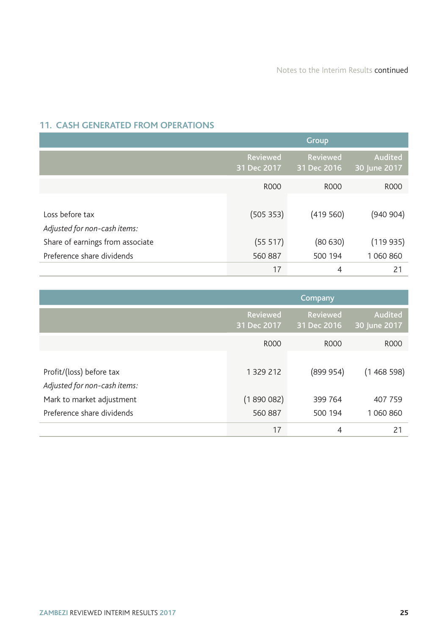and the control of the control of the control of the control of the control of the control of the control of the

# **11. CASH GENERATED FROM OPERATIONS**

|                                  |                         | Group                   |                         |
|----------------------------------|-------------------------|-------------------------|-------------------------|
|                                  | Reviewed<br>31 Dec 2017 | Reviewed<br>31 Dec 2016 | Audited<br>30 June 2017 |
|                                  | R000                    | R <sub>000</sub>        | R <sub>000</sub>        |
|                                  |                         |                         |                         |
| Loss before tax                  | (505353)                | (419560)                | (940 904)               |
| Adjusted for non-cash items:     |                         |                         |                         |
| Share of earnings from associate | (55 517)                | (80630)                 | (119935)                |
| Preference share dividends       | 560 887                 | 500 194                 | 1 060 860               |
|                                  | 17                      | $\overline{4}$          | 21                      |

|                                                          | Company                 |                         |                         |  |
|----------------------------------------------------------|-------------------------|-------------------------|-------------------------|--|
|                                                          | Reviewed<br>31 Dec 2017 | Reviewed<br>31 Dec 2016 | Audited<br>30 June 2017 |  |
|                                                          | R000                    | R000                    | <b>ROOO</b>             |  |
| Profit/(loss) before tax<br>Adjusted for non-cash items: | 1 329 212               | (899954)                | (1468598)               |  |
| Mark to market adjustment                                | (1890082)               | 399 764                 | 407 759                 |  |
| Preference share dividends                               | 560 887                 | 500 194                 | 1 060 860               |  |
|                                                          | 17                      | 4                       | 21                      |  |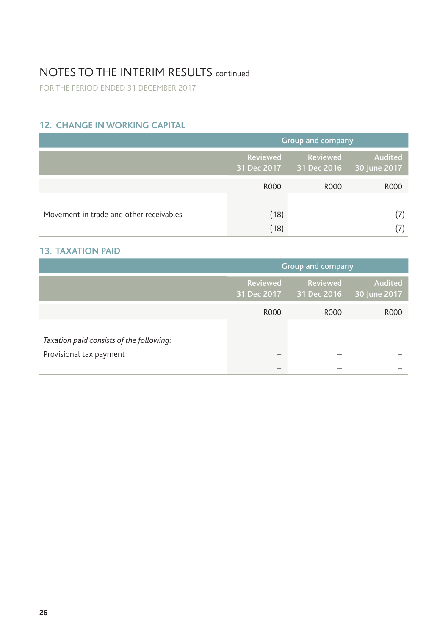FOR THE PERIOD ENDED 31 DECEMBER 2017

## **12. CHANGE IN WORKING CAPITAL**

|                                         | Group and company |                                                  |         |  |
|-----------------------------------------|-------------------|--------------------------------------------------|---------|--|
|                                         | Reviewed          | Reviewed<br>31 Dec 2017 31 Dec 2016 30 June 2017 | Audited |  |
|                                         | <b>ROOO</b>       | R000                                             | R000    |  |
| Movement in trade and other receivables | (18)              |                                                  |         |  |
|                                         | (18)              |                                                  |         |  |

### **13. TAXATION PAID**

|                                                                     | Group and company       |                         |                         |  |
|---------------------------------------------------------------------|-------------------------|-------------------------|-------------------------|--|
|                                                                     | Reviewed<br>31 Dec 2017 | Reviewed<br>31 Dec 2016 | Audited<br>30 June 2017 |  |
|                                                                     | <b>ROOO</b>             | R000                    | R <sub>000</sub>        |  |
| Taxation paid consists of the following:<br>Provisional tax payment |                         |                         |                         |  |
|                                                                     |                         |                         |                         |  |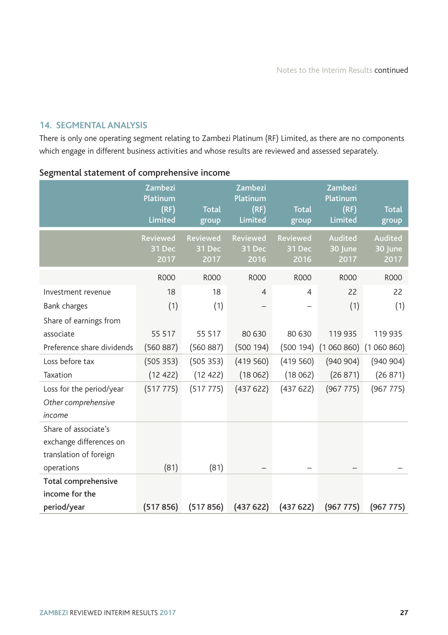### **14. SEGMENTAL ANALYSIS**

There is only one operating segment relating to Zambezi Platinum (RF) Limited, as there are no components which engage in different business activities and whose results are reviewed and assessed separately.

|                               | Zambezi<br>Platinum<br>(RF)<br>Limited | <b>Total</b><br>group             | Zambezi<br>Platinum<br>(RF)<br>Limited | <b>Total</b><br>group      | Zambezi<br>Platinum<br>(RF)<br>Limited | <b>Total</b><br>group             |
|-------------------------------|----------------------------------------|-----------------------------------|----------------------------------------|----------------------------|----------------------------------------|-----------------------------------|
|                               | <b>Reviewed</b><br>31 Dec<br>2017      | <b>Reviewed</b><br>31 Dec<br>2017 | <b>Reviewed</b><br>31 Dec<br>2016      | Reviewed<br>31 Dec<br>2016 | Audited<br>30 June<br>2017             | <b>Audited</b><br>30 June<br>2017 |
|                               | <b>ROOO</b>                            | <b>ROOO</b>                       | <b>ROOO</b>                            | <b>ROOO</b>                | <b>ROOO</b>                            | <b>ROOO</b>                       |
| Investment revenue            | 18                                     | 18                                | $\overline{4}$                         | 4                          | 22                                     | 22                                |
| Bank charges                  | (1)                                    | (1)                               |                                        |                            | (1)                                    | (1)                               |
| Share of earnings from        |                                        |                                   |                                        |                            |                                        |                                   |
| associate                     | 55 517                                 | 55 517                            | 80 630                                 | 80 630                     | 119 935                                | 119 935                           |
| Preference share dividends    | (560 887)                              | (560 887)                         | (500 194)                              |                            | $(500 194)$ $(1060 860)$               | (1060860)                         |
| Loss before tax               | (505353)                               | (505 353)                         | (419560)                               | (419560)                   | (940904)                               | (940904)                          |
| Taxation                      | (12 422)                               | (12 422)                          | (18062)                                | (18062)                    | (26871)                                | (26 871)                          |
| Loss for the period/year      | (517 775)                              | (517 775)                         | (437622)                               | (437622)                   | (967 775)                              | (967 775)                         |
| Other comprehensive<br>income |                                        |                                   |                                        |                            |                                        |                                   |
| Share of associate's          |                                        |                                   |                                        |                            |                                        |                                   |
| exchange differences on       |                                        |                                   |                                        |                            |                                        |                                   |
| translation of foreign        |                                        |                                   |                                        |                            |                                        |                                   |
| operations                    | (81)                                   | (81)                              |                                        |                            |                                        |                                   |
| Total comprehensive           |                                        |                                   |                                        |                            |                                        |                                   |
| income for the                |                                        |                                   |                                        |                            |                                        |                                   |
| period/year                   | (517856)                               | (517856)                          | (437622)                               | (437622)                   | (967 775)                              | (967 775)                         |

### Segmental statement of comprehensive income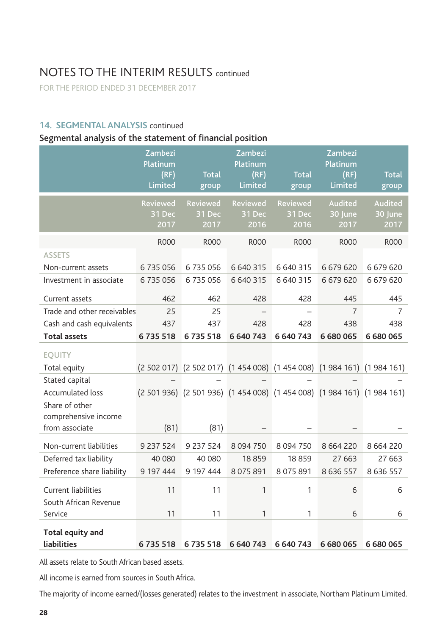FOR THE PERIOD ENDED 31 DECEMBER 2017

### **14. SEGMENTAL ANALYSIS** continued

## Segmental analysis of the statement of financial position

|                             | Zambezi<br>Platinum<br>(RF)<br>Limited | <b>Total</b><br>group                                                   | Zambezi<br>Platinum<br>(RF)<br>Limited | <b>Total</b><br>group             | Zambezi<br>Platinum<br>(RF)<br>Limited | <b>Total</b><br>group      |
|-----------------------------|----------------------------------------|-------------------------------------------------------------------------|----------------------------------------|-----------------------------------|----------------------------------------|----------------------------|
|                             | <b>Reviewed</b><br>31 Dec<br>2017      | <b>Reviewed</b><br>31 Dec<br>2017                                       | <b>Reviewed</b><br>31 Dec<br>2016      | <b>Reviewed</b><br>31 Dec<br>2016 | Audited<br>30 June<br>2017             | Audited<br>30 June<br>2017 |
|                             | <b>ROOO</b>                            | <b>R000</b>                                                             | <b>ROOO</b>                            | <b>R000</b>                       | <b>ROOO</b>                            | <b>ROOO</b>                |
| <b>ASSETS</b>               |                                        |                                                                         |                                        |                                   |                                        |                            |
| Non-current assets          | 6735056                                | 6735056                                                                 | 6 640 315                              | 6 640 315                         | 6 679 620                              | 6 679 620                  |
| Investment in associate     | 6735056                                | 6735056                                                                 | 6 640 315                              | 6 640 315                         | 6679620                                | 6 679 620                  |
| Current assets              | 462                                    | 462                                                                     | 428                                    | 428                               | 445                                    | 445                        |
| Trade and other receivables | 25                                     | 25                                                                      |                                        |                                   | $\overline{7}$                         | $\overline{7}$             |
| Cash and cash equivalents   | 437                                    | 437                                                                     | 428                                    | 428                               | 438                                    | 438                        |
| <b>Total assets</b>         | 6735518                                | 6735518                                                                 | 6 640 743                              | 6 640 743                         | 6 680 065                              | 6 680 065                  |
| <b>EQUITY</b>               |                                        |                                                                         |                                        |                                   |                                        |                            |
| Total equity                |                                        | (2 502 017) (2 502 017) (1 454 008) (1 454 008) (1 984 161) (1 984 161) |                                        |                                   |                                        |                            |
| Stated capital              |                                        |                                                                         |                                        |                                   |                                        |                            |
| Accumulated loss            |                                        | (2 501 936) (2 501 936) (1 454 008) (1 454 008) (1 984 161) (1 984 161) |                                        |                                   |                                        |                            |
| Share of other              |                                        |                                                                         |                                        |                                   |                                        |                            |
| comprehensive income        |                                        |                                                                         |                                        |                                   |                                        |                            |
| from associate              | (81)                                   | (81)                                                                    |                                        |                                   |                                        |                            |
| Non-current liabilities     | 9 237 524                              | 9 237 524                                                               | 8 0 9 4 7 5 0                          | 8 0 9 4 7 5 0                     | 8 6 6 4 2 2 0                          | 8 6 6 4 2 2 0              |
| Deferred tax liability      | 40 080                                 | 40 080                                                                  | 18859                                  | 18859                             | 27 6 63                                | 27 6 63                    |
| Preference share liability  | 9 197 444                              | 9 197 444                                                               | 8 0 7 5 8 9 1                          | 8 0 7 5 8 9 1                     | 8 6 3 6 5 5 7                          | 8 6 3 6 5 5 7              |
| Current liabilities         | 11                                     | 11                                                                      | 1                                      | 1                                 | 6                                      | 6                          |
| South African Revenue       |                                        |                                                                         |                                        |                                   |                                        |                            |
| Service                     | 11                                     | 11                                                                      | 1                                      | 1                                 | 6                                      | 6                          |
| Total equity and            |                                        |                                                                         |                                        |                                   |                                        |                            |
| liabilities                 | 6735518                                | 6735518                                                                 | 6 640 743                              | 6 640 743                         | 6 680 065                              | 6 680 065                  |

All assets relate to South African based assets.

All income is earned from sources in South Africa.

The majority of income earned/(losses generated) relates to the investment in associate, Northam Platinum Limited.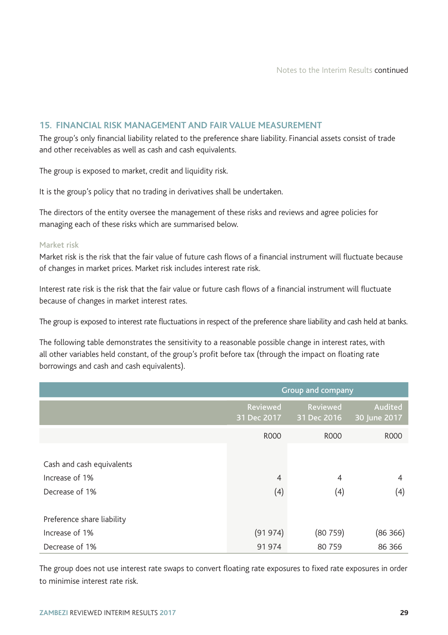Notes to the Interim Results continued

### **15. FINANCIAL RISK MANAGEMENT AND FAIR VALUE MEASUREMENT**

The group's only financial liability related to the preference share liability. Financial assets consist of trade and other receivables as well as cash and cash equivalents.

The group is exposed to market, credit and liquidity risk.

It is the group's policy that no trading in derivatives shall be undertaken.

The directors of the entity oversee the management of these risks and reviews and agree policies for managing each of these risks which are summarised below.

#### Market risk

Market risk is the risk that the fair value of future cash flows of a financial instrument will fluctuate because of changes in market prices. Market risk includes interest rate risk.

Interest rate risk is the risk that the fair value or future cash flows of a financial instrument will fluctuate because of changes in market interest rates.

The group is exposed to interest rate fluctuations in respect of the preference share liability and cash held at banks.

The following table demonstrates the sensitivity to a reasonable possible change in interest rates, with all other variables held constant, of the group's profit before tax (through the impact on floating rate borrowings and cash and cash equivalents).

|                                                               | Group and company       |                         |                         |  |
|---------------------------------------------------------------|-------------------------|-------------------------|-------------------------|--|
|                                                               | Reviewed<br>31 Dec 2017 | Reviewed<br>31 Dec 2016 | Audited<br>30 June 2017 |  |
|                                                               | <b>ROOO</b>             | R000                    | R000                    |  |
| Cash and cash equivalents<br>Increase of 1%<br>Decrease of 1% | $\overline{4}$<br>(4)   | $\overline{4}$<br>(4)   | 4<br>(4)                |  |
| Preference share liability                                    |                         |                         |                         |  |
| Increase of 1%                                                | (91974)                 | (80759)                 | (86 366)                |  |
| Decrease of 1%                                                | 91974                   | 80 759                  | 86 366                  |  |

The group does not use interest rate swaps to convert floating rate exposures to fixed rate exposures in order to minimise interest rate risk.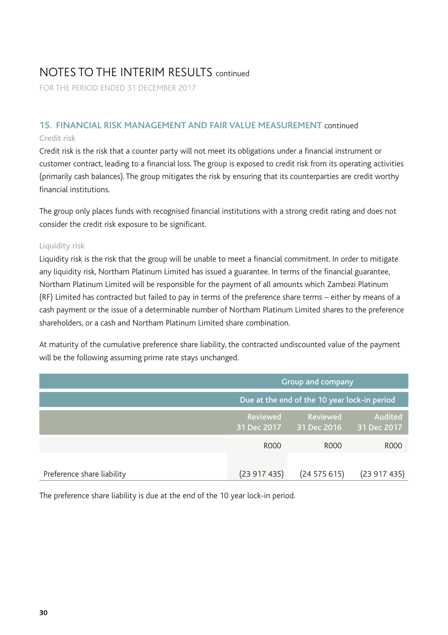FOR THE PERIOD ENDED 31 DECEMBER 2017

### **15. FINANCIAL RISK MANAGEMENT AND FAIR VALUE MEASUREMENT** continued Credit risk

Credit risk is the risk that a counter party will not meet its obligations under a financial instrument or customer contract, leading to a financial loss. The group is exposed to credit risk from its operating activities (primarily cash balances). The group mitigates the risk by ensuring that its counterparties are credit worthy financial institutions.

The group only places funds with recognised financial institutions with a strong credit rating and does not consider the credit risk exposure to be significant.

### Liquidity risk

Liquidity risk is the risk that the group will be unable to meet a financial commitment. In order to mitigate any liquidity risk, Northam Platinum Limited has issued a guarantee. In terms of the financial guarantee, Northam Platinum Limited will be responsible for the payment of all amounts which Zambezi Platinum (RF) Limited has contracted but failed to pay in terms of the preference share terms – either by means of a cash payment or the issue of a determinable number of Northam Platinum Limited shares to the preference shareholders, or a cash and Northam Platinum Limited share combination.

At maturity of the cumulative preference share liability, the contracted undiscounted value of the payment will be the following assuming prime rate stays unchanged.

|                            | Group and company                            |                                                |            |  |
|----------------------------|----------------------------------------------|------------------------------------------------|------------|--|
|                            | Due at the end of the 10 year lock-in period |                                                |            |  |
|                            | Reviewed                                     | Audited<br>31 Dec 2017 31 Dec 2016 31 Dec 2017 |            |  |
|                            | <b>ROOO</b>                                  | R000                                           | R000       |  |
| Preference share liability | (23917435)                                   | (24575615)                                     | (23917435) |  |

The preference share liability is due at the end of the 10 year lock-in period.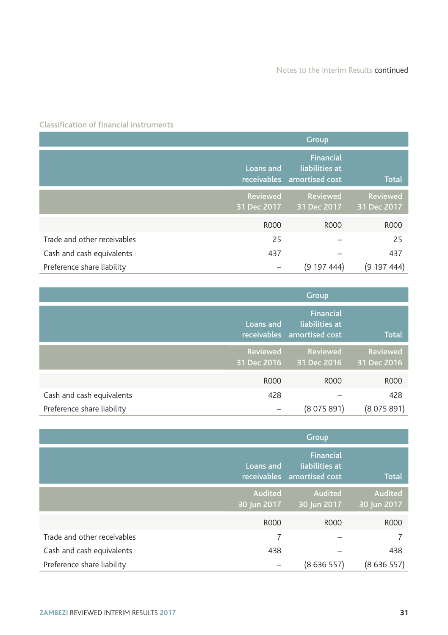Classification of financial instruments

|                             | <b>Group</b>            |                                                                  |                         |  |
|-----------------------------|-------------------------|------------------------------------------------------------------|-------------------------|--|
|                             | Loans and               | <b>Financial</b><br>liabilities at<br>receivables amortised cost | <b>Total</b>            |  |
|                             | Reviewed<br>31 Dec 2017 | Reviewed<br>31 Dec 2017                                          | Reviewed<br>31 Dec 2017 |  |
|                             | <b>ROOO</b>             | R000                                                             | <b>ROOO</b>             |  |
| Trade and other receivables | 25                      |                                                                  | 25                      |  |
| Cash and cash equivalents   | 437                     |                                                                  | 437                     |  |
| Preference share liability  |                         | (919744)                                                         | (919744)                |  |

|                            | Group                   |                                                                  |                         |  |
|----------------------------|-------------------------|------------------------------------------------------------------|-------------------------|--|
|                            | Loans and               | <b>Financial</b><br>liabilities at<br>receivables amortised cost | <b>Total</b>            |  |
|                            | Reviewed<br>31 Dec 2016 | <b>Reviewed</b><br>31 Dec 2016                                   | Reviewed<br>31 Dec 2016 |  |
|                            | <b>ROOO</b>             | R000                                                             | R000                    |  |
| Cash and cash equivalents  | 428                     |                                                                  | 428                     |  |
| Preference share liability |                         | (8075891)                                                        | (8075891)               |  |

|                             | Group                  |                                                                  |                        |  |
|-----------------------------|------------------------|------------------------------------------------------------------|------------------------|--|
|                             | Loans and              | <b>Financial</b><br>liabilities at<br>receivables amortised cost | <b>Total</b>           |  |
|                             | Audited<br>30 Jun 2017 | Audited<br>30 Jun 2017                                           | Audited<br>30 Jun 2017 |  |
|                             | <b>ROOO</b>            | R000                                                             | R000                   |  |
| Trade and other receivables | 7                      |                                                                  |                        |  |
| Cash and cash equivalents   | 438                    |                                                                  | 438                    |  |
| Preference share liability  |                        | (8636557)                                                        | (8636557)              |  |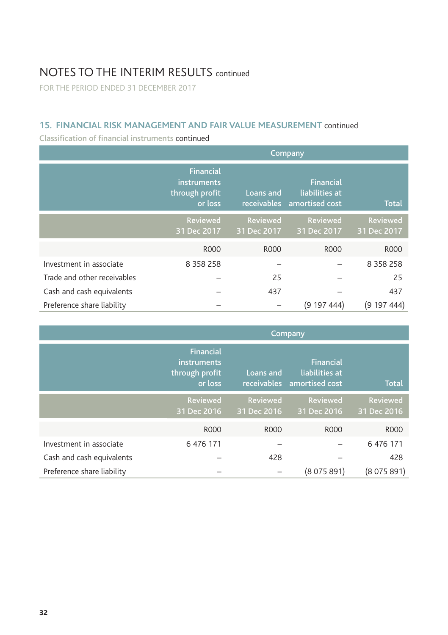FOR THE PERIOD ENDED 31 DECEMBER 2017

### **15. FINANCIAL RISK MANAGEMENT AND FAIR VALUE MEASUREMENT** continued

Classification of financial instruments continued

|                             | Company                                                      |                          |                                                      |                         |  |  |
|-----------------------------|--------------------------------------------------------------|--------------------------|------------------------------------------------------|-------------------------|--|--|
|                             | <b>Financial</b><br>instruments<br>through profit<br>or loss | Loans and<br>receivables | <b>Financial</b><br>liabilities at<br>amortised cost | <b>Total</b>            |  |  |
|                             | Reviewed<br>31 Dec 2017                                      | Reviewed<br>31 Dec 2017  | Reviewed<br>31 Dec 2017                              | Reviewed<br>31 Dec 2017 |  |  |
|                             | <b>ROOO</b>                                                  | <b>ROOO</b>              | <b>ROOO</b>                                          | <b>ROOO</b>             |  |  |
| Investment in associate     | 8 3 5 8 2 5 8                                                |                          |                                                      | 8 3 5 8 2 5 8           |  |  |
| Trade and other receivables |                                                              | 25                       |                                                      | 25                      |  |  |
| Cash and cash equivalents   |                                                              | 437                      |                                                      | 437                     |  |  |
| Preference share liability  |                                                              |                          | (919744)                                             | (919744)                |  |  |

|                            | Company                                                      |                          |                                                      |                         |  |  |
|----------------------------|--------------------------------------------------------------|--------------------------|------------------------------------------------------|-------------------------|--|--|
|                            | <b>Financial</b><br>instruments<br>through profit<br>or loss | Loans and<br>receivables | <b>Financial</b><br>liabilities at<br>amortised cost | <b>Total</b>            |  |  |
|                            | Reviewed<br>31 Dec 2016                                      | Reviewed<br>31 Dec 2016  | Reviewed<br>31 Dec 2016                              | Reviewed<br>31 Dec 2016 |  |  |
|                            | <b>ROOO</b>                                                  | <b>ROOO</b>              | <b>ROOO</b>                                          | <b>ROOO</b>             |  |  |
| Investment in associate    | 6 476 171                                                    |                          |                                                      | 6 476 171               |  |  |
| Cash and cash equivalents  |                                                              | 428                      |                                                      | 428                     |  |  |
| Preference share liability |                                                              |                          | (8075891)                                            | (8075891)               |  |  |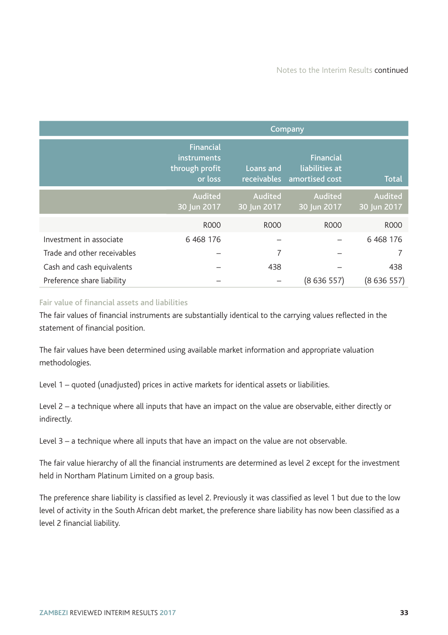|                             | Company                                                      |                        |                                                                  |                        |  |  |
|-----------------------------|--------------------------------------------------------------|------------------------|------------------------------------------------------------------|------------------------|--|--|
|                             | <b>Financial</b><br>instruments<br>through profit<br>or loss | Loans and              | <b>Financial</b><br>liabilities at<br>receivables amortised cost | <b>Total</b>           |  |  |
|                             | Audited<br>30 Jun 2017                                       | Audited<br>30 Jun 2017 | Audited<br>30 Jun 2017                                           | Audited<br>30 Jun 2017 |  |  |
|                             | <b>ROOO</b>                                                  | <b>ROOO</b>            | <b>ROOO</b>                                                      | <b>ROOO</b>            |  |  |
| Investment in associate     | 6 4 68 176                                                   |                        |                                                                  | 6 4 68 176             |  |  |
| Trade and other receivables |                                                              | 7                      |                                                                  |                        |  |  |
| Cash and cash equivalents   |                                                              | 438                    |                                                                  | 438                    |  |  |
| Preference share liability  |                                                              |                        | (8636557)                                                        | (8636557)              |  |  |

#### Fair value of financial assets and liabilities

The fair values of financial instruments are substantially identical to the carrying values reflected in the statement of financial position.

The fair values have been determined using available market information and appropriate valuation methodologies.

Level 1 – quoted (unadjusted) prices in active markets for identical assets or liabilities.

Level 2 – a technique where all inputs that have an impact on the value are observable, either directly or indirectly.

Level 3 – a technique where all inputs that have an impact on the value are not observable.

The fair value hierarchy of all the financial instruments are determined as level 2 except for the investment held in Northam Platinum Limited on a group basis.

The preference share liability is classified as level 2. Previously it was classified as level 1 but due to the low level of activity in the South African debt market, the preference share liability has now been classified as a level 2 financial liability.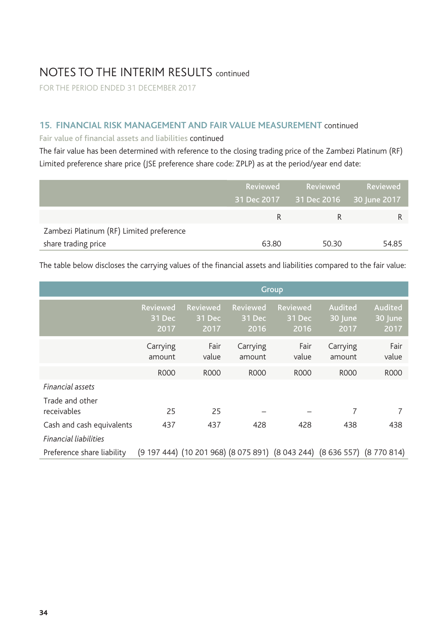FOR THE PERIOD ENDED 31 DECEMBER 2017

### **15. FINANCIAL RISK MANAGEMENT AND FAIR VALUE MEASUREMENT** continued

### Fair value of financial assets and liabilities continued

The fair value has been determined with reference to the closing trading price of the Zambezi Platinum (RF) Limited preference share price (JSE preference share code: ZPLP) as at the period/year end date:

|                                          | Reviewed | Reviewed<br>31 Dec 2017 31 Dec 2016 30 June 2017 | Reviewed |
|------------------------------------------|----------|--------------------------------------------------|----------|
|                                          | R        |                                                  |          |
| Zambezi Platinum (RF) Limited preference |          |                                                  |          |
| share trading price                      | 63.80    | 50.30                                            | 54.85    |

The table below discloses the carrying values of the financial assets and liabilities compared to the fair value:

|                                                           | Group                             |                                                                          |                            |                            |                            |                            |
|-----------------------------------------------------------|-----------------------------------|--------------------------------------------------------------------------|----------------------------|----------------------------|----------------------------|----------------------------|
|                                                           | <b>Reviewed</b><br>31 Dec<br>2017 | <b>Reviewed</b><br>31 Dec<br>2017                                        | Reviewed<br>31 Dec<br>2016 | Reviewed<br>31 Dec<br>2016 | Audited<br>30 June<br>2017 | Audited<br>30 June<br>2017 |
|                                                           | Carrying<br>amount                | Fair<br>value                                                            | Carrying<br>amount         | Fair<br>value              | Carrying<br>amount         | Fair<br>value              |
|                                                           | R000                              | R000                                                                     | R000                       | R000                       | R000                       | <b>ROOO</b>                |
| Financial assets<br>Trade and other                       |                                   |                                                                          |                            |                            |                            |                            |
| receivables                                               | 25                                | 25                                                                       |                            |                            | 7                          |                            |
| Cash and cash equivalents<br><b>Financial liabilities</b> | 437                               | 437                                                                      | 428                        | 428                        | 438                        | 438                        |
| Preference share liability                                |                                   | (9 197 444) (10 201 968) (8 075 891) (8 043 244) (8 636 557) (8 770 814) |                            |                            |                            |                            |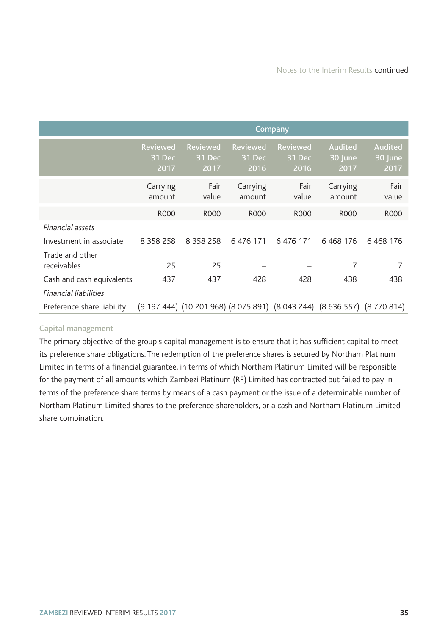|                                | Company                           |                                                                          |                                   |                                   |                            |                            |
|--------------------------------|-----------------------------------|--------------------------------------------------------------------------|-----------------------------------|-----------------------------------|----------------------------|----------------------------|
|                                | <b>Reviewed</b><br>31 Dec<br>2017 | <b>Reviewed</b><br>31 Dec<br>2017                                        | <b>Reviewed</b><br>31 Dec<br>2016 | <b>Reviewed</b><br>31 Dec<br>2016 | Audited<br>30 June<br>2017 | Audited<br>30 June<br>2017 |
|                                | Carrying<br>amount                | Fair<br>value                                                            | Carrying<br>amount                | Fair<br>value                     | Carrying<br>amount         | Fair<br>value              |
|                                | <b>ROOO</b>                       | <b>ROOO</b>                                                              | <b>ROOO</b>                       | <b>ROOO</b>                       | <b>ROOO</b>                | <b>ROOO</b>                |
| Financial assets               |                                   |                                                                          |                                   |                                   |                            |                            |
| Investment in associate        | 8 3 5 8 2 5 8                     | 8 3 5 8 2 5 8                                                            | 6 476 171                         | 6 476 171                         | 6 4 68 176                 | 6 4 68 176                 |
| Trade and other<br>receivables | 25                                | 25                                                                       |                                   |                                   | 7                          | 7                          |
| Cash and cash equivalents      | 437                               | 437                                                                      | 428                               | 428                               | 438                        | 438                        |
| <b>Financial liabilities</b>   |                                   |                                                                          |                                   |                                   |                            |                            |
| Preference share liability     |                                   | (9 197 444) (10 201 968) (8 075 891) (8 043 244) (8 636 557) (8 770 814) |                                   |                                   |                            |                            |

### Capital management

The primary objective of the group's capital management is to ensure that it has sufficient capital to meet its preference share obligations. The redemption of the preference shares is secured by Northam Platinum Limited in terms of a financial guarantee, in terms of which Northam Platinum Limited will be responsible for the payment of all amounts which Zambezi Platinum (RF) Limited has contracted but failed to pay in terms of the preference share terms by means of a cash payment or the issue of a determinable number of Northam Platinum Limited shares to the preference shareholders, or a cash and Northam Platinum Limited share combination.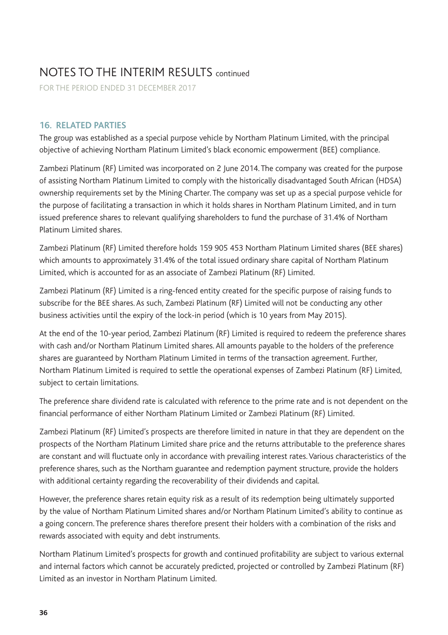FOR THE PERIOD ENDED 31 DECEMBER 2017

### **16. RELATED PARTIES**

The group was established as a special purpose vehicle by Northam Platinum Limited, with the principal objective of achieving Northam Platinum Limited's black economic empowerment (BEE) compliance.

Zambezi Platinum (RF) Limited was incorporated on 2 June 2014. The company was created for the purpose of assisting Northam Platinum Limited to comply with the historically disadvantaged South African (HDSA) ownership requirements set by the Mining Charter. The company was set up as a special purpose vehicle for the purpose of facilitating a transaction in which it holds shares in Northam Platinum Limited, and in turn issued preference shares to relevant qualifying shareholders to fund the purchase of 31.4% of Northam Platinum Limited shares.

Zambezi Platinum (RF) Limited therefore holds 159 905 453 Northam Platinum Limited shares (BEE shares) which amounts to approximately 31.4% of the total issued ordinary share capital of Northam Platinum Limited, which is accounted for as an associate of Zambezi Platinum (RF) Limited.

Zambezi Platinum (RF) Limited is a ring-fenced entity created for the specific purpose of raising funds to subscribe for the BEE shares. As such, Zambezi Platinum (RF) Limited will not be conducting any other business activities until the expiry of the lock-in period (which is 10 years from May 2015).

At the end of the 10-year period, Zambezi Platinum (RF) Limited is required to redeem the preference shares with cash and/or Northam Platinum Limited shares. All amounts payable to the holders of the preference shares are guaranteed by Northam Platinum Limited in terms of the transaction agreement. Further, Northam Platinum Limited is required to settle the operational expenses of Zambezi Platinum (RF) Limited, subject to certain limitations.

The preference share dividend rate is calculated with reference to the prime rate and is not dependent on the financial performance of either Northam Platinum Limited or Zambezi Platinum (RF) Limited.

Zambezi Platinum (RF) Limited's prospects are therefore limited in nature in that they are dependent on the prospects of the Northam Platinum Limited share price and the returns attributable to the preference shares are constant and will fluctuate only in accordance with prevailing interest rates. Various characteristics of the preference shares, such as the Northam guarantee and redemption payment structure, provide the holders with additional certainty regarding the recoverability of their dividends and capital.

However, the preference shares retain equity risk as a result of its redemption being ultimately supported by the value of Northam Platinum Limited shares and/or Northam Platinum Limited's ability to continue as a going concern. The preference shares therefore present their holders with a combination of the risks and rewards associated with equity and debt instruments.

Northam Platinum Limited's prospects for growth and continued profitability are subject to various external and internal factors which cannot be accurately predicted, projected or controlled by Zambezi Platinum (RF) Limited as an investor in Northam Platinum Limited.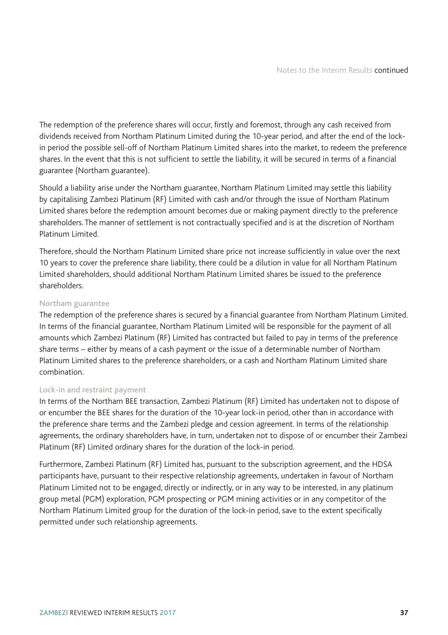The redemption of the preference shares will occur, firstly and foremost, through any cash received from dividends received from Northam Platinum Limited during the 10-year period, and after the end of the lockin period the possible sell-off of Northam Platinum Limited shares into the market, to redeem the preference shares. In the event that this is not sufficient to settle the liability, it will be secured in terms of a financial guarantee (Northam guarantee).

Should a liability arise under the Northam guarantee, Northam Platinum Limited may settle this liability by capitalising Zambezi Platinum (RF) Limited with cash and/or through the issue of Northam Platinum Limited shares before the redemption amount becomes due or making payment directly to the preference shareholders. The manner of settlement is not contractually specified and is at the discretion of Northam Platinum Limited.

Therefore, should the Northam Platinum Limited share price not increase sufficiently in value over the next 10 years to cover the preference share liability, there could be a dilution in value for all Northam Platinum Limited shareholders, should additional Northam Platinum Limited shares be issued to the preference shareholders.

#### Northam guarantee

The redemption of the preference shares is secured by a financial guarantee from Northam Platinum Limited. In terms of the financial guarantee, Northam Platinum Limited will be responsible for the payment of all amounts which Zambezi Platinum (RF) Limited has contracted but failed to pay in terms of the preference share terms – either by means of a cash payment or the issue of a determinable number of Northam Platinum Limited shares to the preference shareholders, or a cash and Northam Platinum Limited share combination.

#### Lock-in and restraint payment

In terms of the Northam BEE transaction, Zambezi Platinum (RF) Limited has undertaken not to dispose of or encumber the BEE shares for the duration of the 10-year lock-in period, other than in accordance with the preference share terms and the Zambezi pledge and cession agreement. In terms of the relationship agreements, the ordinary shareholders have, in turn, undertaken not to dispose of or encumber their Zambezi Platinum (RF) Limited ordinary shares for the duration of the lock-in period.

Furthermore, Zambezi Platinum (RF) Limited has, pursuant to the subscription agreement, and the HDSA participants have, pursuant to their respective relationship agreements, undertaken in favour of Northam Platinum Limited not to be engaged, directly or indirectly, or in any way to be interested, in any platinum group metal (PGM) exploration, PGM prospecting or PGM mining activities or in any competitor of the Northam Platinum Limited group for the duration of the lock-in period, save to the extent specifically permitted under such relationship agreements.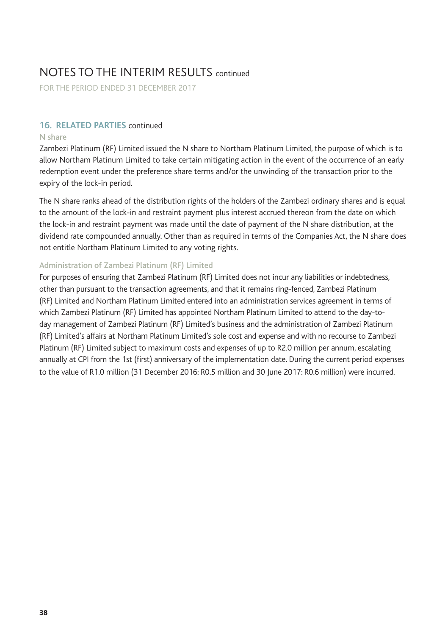FOR THE PERIOD ENDED 31 DECEMBER 2017

### **16. RELATED PARTIES** continued

#### N share

Zambezi Platinum (RF) Limited issued the N share to Northam Platinum Limited, the purpose of which is to allow Northam Platinum Limited to take certain mitigating action in the event of the occurrence of an early redemption event under the preference share terms and/or the unwinding of the transaction prior to the expiry of the lock-in period.

The N share ranks ahead of the distribution rights of the holders of the Zambezi ordinary shares and is equal to the amount of the lock-in and restraint payment plus interest accrued thereon from the date on which the lock-in and restraint payment was made until the date of payment of the N share distribution, at the dividend rate compounded annually. Other than as required in terms of the Companies Act, the N share does not entitle Northam Platinum Limited to any voting rights.

#### Administration of Zambezi Platinum (RF) Limited

For purposes of ensuring that Zambezi Platinum (RF) Limited does not incur any liabilities or indebtedness, other than pursuant to the transaction agreements, and that it remains ring-fenced, Zambezi Platinum (RF) Limited and Northam Platinum Limited entered into an administration services agreement in terms of which Zambezi Platinum (RF) Limited has appointed Northam Platinum Limited to attend to the day-today management of Zambezi Platinum (RF) Limited's business and the administration of Zambezi Platinum (RF) Limited's affairs at Northam Platinum Limited's sole cost and expense and with no recourse to Zambezi Platinum (RF) Limited subject to maximum costs and expenses of up to R2.0 million per annum, escalating annually at CPI from the 1st (first) anniversary of the implementation date. During the current period expenses to the value of R1.0 million (31 December 2016: R0.5 million and 30 June 2017: R0.6 million) were incurred.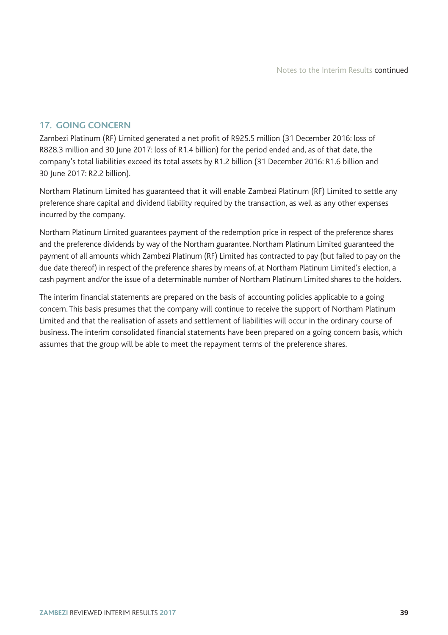### **17. GOING CONCERN**

Zambezi Platinum (RF) Limited generated a net profit of R925.5 million (31 December 2016: loss of R828.3 million and 30 June 2017: loss of R1.4 billion) for the period ended and, as of that date, the company's total liabilities exceed its total assets by R1.2 billion (31 December 2016: R1.6 billion and 30 June 2017: R2.2 billion).

Northam Platinum Limited has guaranteed that it will enable Zambezi Platinum (RF) Limited to settle any preference share capital and dividend liability required by the transaction, as well as any other expenses incurred by the company.

Northam Platinum Limited guarantees payment of the redemption price in respect of the preference shares and the preference dividends by way of the Northam guarantee. Northam Platinum Limited guaranteed the payment of all amounts which Zambezi Platinum (RF) Limited has contracted to pay (but failed to pay on the due date thereof) in respect of the preference shares by means of, at Northam Platinum Limited's election, a cash payment and/or the issue of a determinable number of Northam Platinum Limited shares to the holders.

The interim financial statements are prepared on the basis of accounting policies applicable to a going concern. This basis presumes that the company will continue to receive the support of Northam Platinum Limited and that the realisation of assets and settlement of liabilities will occur in the ordinary course of business. The interim consolidated financial statements have been prepared on a going concern basis, which assumes that the group will be able to meet the repayment terms of the preference shares.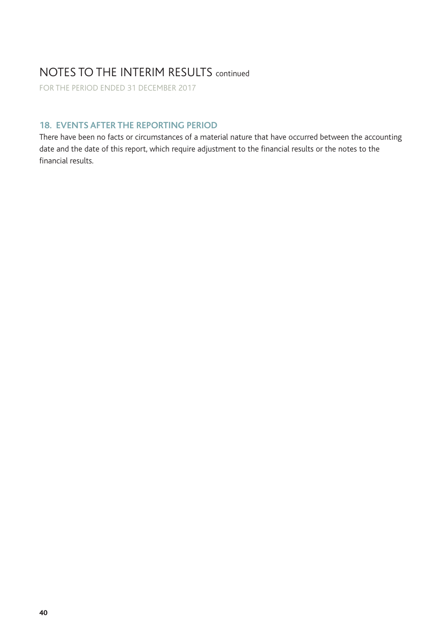FOR THE PERIOD ENDED 31 DECEMBER 2017

## **18. EVENTS AFTER THE REPORTING PERIOD**

There have been no facts or circumstances of a material nature that have occurred between the accounting date and the date of this report, which require adjustment to the financial results or the notes to the financial results.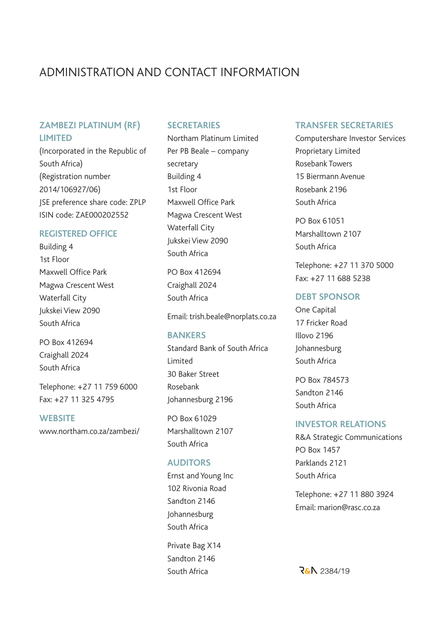## ADMINISTRATION AND CONTACT INFORMATION

### **ZAMBEZI PLATINUM (RF) LIMITED**

(Incorporated in the Republic of South Africa) (Registration number 2014/106927/06) JSE preference share code: ZPLP ISIN code: ZAE000202552

#### **REGISTERED OFFICE**

Building 4 1st Floor Maxwell Office Park Magwa Crescent West Waterfall City Jukskei View 2090 South Africa

PO Box 412694 Craighall 2024 South Africa

Telephone: +27 11 759 6000 Fax: +27 11 325 4795

### **WEBSITE**

www.northam.co.za/zambezi/

### **SECRETARIES**

Northam Platinum Limited Per PB Beale – company secretary Building 4 1st Floor Maxwell Office Park Magwa Crescent West Waterfall City Jukskei View 2090 South Africa

PO Box 412694 Craighall 2024 South Africa

Email: trish.beale@norplats.co.za

### **BANKERS**

Standard Bank of South Africa Limited 30 Baker Street Rosebank Johannesburg 2196

PO Box 61029 Marshalltown 2107 South Africa

#### **AUDITORS**

Ernst and Young Inc 102 Rivonia Road Sandton 2146 Johannesburg South Africa

Private Bag X14 Sandton 2146 South Africa

#### **TRANSFER SECRETARIES**

Computershare Investor Services Proprietary Limited Rosebank Towers 15 Biermann Avenue Rosebank 2196 South Africa

PO Box 61051 Marshalltown 2107 South Africa

Telephone: +27 11 370 5000 Fax: +27 11 688 5238

### **DEBT SPONSOR**

One Capital 17 Fricker Road Illovo 2196 Johannesburg South Africa

PO Box 784573 Sandton 2146 South Africa

### **INVESTOR RELATIONS**

R&A Strategic Communications PO Box 1457 Parklands 2121 South Africa

Telephone: +27 11 880 3924 Email: marion@rasc.co.za

**R&A** 2384/19